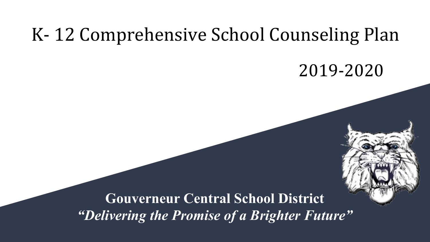# K- 12 Comprehensive School Counseling Plan

# 2019-2020

**Gouverneur Central School District** *"Delivering the Promise of a Brighter Future"*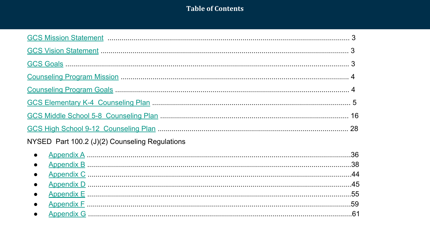### **Table of Contents**

| NYSED Part 100.2 (J)(2) Counseling Regulations |  |
|------------------------------------------------|--|
| $\bullet$                                      |  |
| $\bullet$                                      |  |
|                                                |  |
|                                                |  |
|                                                |  |
|                                                |  |
|                                                |  |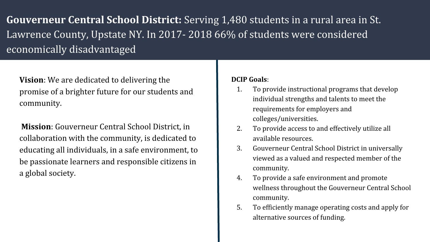<span id="page-2-0"></span>**Gouverneur Central School District:** Serving 1,480 students in a rural area in St. Lawrence County, Upstate NY. In 2017- 2018 66% of students were considered economically disadvantaged

**Vision**: We are dedicated to delivering the promise of a brighter future for our students and community.

 **Mission**: Gouverneur Central School District, in collaboration with the community, is dedicated to educating all individuals, in a safe environment, to be passionate learners and responsible citizens in a global society.

### **DCIP Goals**:

- 1. To provide instructional programs that develop individual strengths and talents to meet the requirements for employers and colleges/universities.
- 2. To provide access to and effectively utilize all available resources.
- 3. Gouverneur Central School District in universally viewed as a valued and respected member of the community.
- 4. To provide a safe environment and promote wellness throughout the Gouverneur Central School community.
- 5. To efficiently manage operating costs and apply for alternative sources of funding.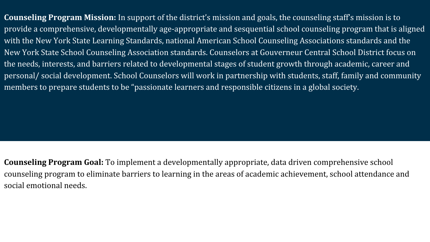<span id="page-3-0"></span>**Counseling Program Mission:** In support of the district's mission and goals, the counseling staff's mission is to provide a comprehensive, developmentally age-appropriate and sesquential school counseling program that is aligned with the New York State Learning Standards, national American School Counseling Associations standards and the New York State School Counseling Association standards. Counselors at Gouverneur Central School District focus on the needs, interests, and barriers related to developmental stages of student growth through academic, career and personal/ social development. School Counselors will work in partnership with students, staff, family and community members to prepare students to be "passionate learners and responsible citizens in a global society.

**Counseling Program Goal:** To implement a developmentally appropriate, data driven comprehensive school counseling program to eliminate barriers to learning in the areas of academic achievement, school attendance and social emotional needs.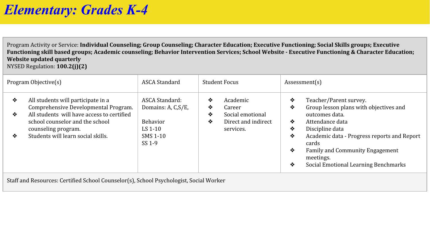<span id="page-4-0"></span>Program Activity or Service: **Individual Counseling; Group Counseling; Character Education; Executive Functioning; Social Skills groups; Executive Functioning skill based groups; Academic counseling; Behavior Intervention Services; School Website - Executive Functioning & Character Education; Website updated quarterly** 

NYSED Regulation: **100.2(j)(2)**

|             | Program Objective(s)                                                                                                                                                                                                     | ASCA Standard                                                                               | <b>Student Focus</b> |                                                                            | Assessment(s)                   |                                                                                                                                                                                                                                                                          |  |
|-------------|--------------------------------------------------------------------------------------------------------------------------------------------------------------------------------------------------------------------------|---------------------------------------------------------------------------------------------|----------------------|----------------------------------------------------------------------------|---------------------------------|--------------------------------------------------------------------------------------------------------------------------------------------------------------------------------------------------------------------------------------------------------------------------|--|
| ❖<br>❖<br>❖ | All students will participate in a<br>Comprehensive Developmental Program.<br>All students will have access to certified<br>school counselor and the school<br>counseling program.<br>Students will learn social skills. | ASCA Standard:<br>Domains: A, C, S/E,<br><b>Behavior</b><br>LS $1-10$<br>SMS 1-10<br>SS 1-9 | ❖<br>❖<br>❖<br>❖     | Academic<br>Career<br>Social emotional<br>Direct and indirect<br>services. | ❖<br>❖<br>❖<br>❖<br>❖<br>❖<br>❖ | Teacher/Parent survey.<br>Group lesson plans with objectives and<br>outcomes data.<br>Attendance data<br>Discipline data<br>Academic data - Progress reports and Report<br>cards<br>Family and Community Engagement<br>meetings.<br>Social Emotional Learning Benchmarks |  |

Staff and Resources: Certified School Counselor(s), School Psychologist, Social Worker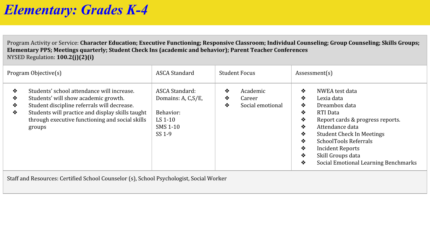Program Activity or Service: **Character Education; Executive Functioning; Responsive Classroom; Individual Counseling; Group Counseling; Skills Groups; Elementary PPS; Meetings quarterly; Student Check Ins (academic and behavior); Parent Teacher Conferences** NYSED Regulation: **100.2(j)(2)(i)**

| Program Objective(s)                                                                                                                                                                                                                                                   | ASCA Standard                                                                         | <b>Student Focus</b>                                  | Assessment(s)                                                                                                                                                                                                                                                                                                                |  |
|------------------------------------------------------------------------------------------------------------------------------------------------------------------------------------------------------------------------------------------------------------------------|---------------------------------------------------------------------------------------|-------------------------------------------------------|------------------------------------------------------------------------------------------------------------------------------------------------------------------------------------------------------------------------------------------------------------------------------------------------------------------------------|--|
| Students' school attendance will increase.<br>❖<br>Students' will show academic growth.<br>❖<br>Student discipline referrals will decrease.<br>❖<br>Students will practice and display skills taught<br>❖<br>through executive functioning and social skills<br>groups | ASCA Standard:<br>Domains: A, C, S/E,<br>Behavior:<br>LS $1-10$<br>SMS 1-10<br>SS 1-9 | ❖<br>Academic<br>❖<br>Career<br>Social emotional<br>❖ | ❖<br>NWEA test data<br>Lexia data<br>❖<br>❖<br>Dreambox data<br>❖<br>RTI Data<br>❖<br>Report cards & progress reports.<br>Attendance data<br>❖<br>❖<br><b>Student Check In Meetings</b><br>SchoolTools Referrals<br>❖<br>❖<br><b>Incident Reports</b><br>❖<br>Skill Groups data<br>Social Emotional Learning Benchmarks<br>❖ |  |

Staff and Resources: Certified School Counselor (s), School Psychologist, Social Worker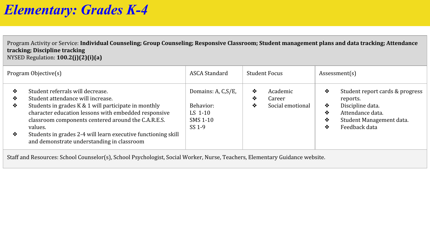Program Activity or Service: **Individual Counseling; Group Counseling; Responsive Classroom; Student management plans and data tracking; Attendance tracking; Discipline tracking**

NYSED Regulation: **100.2(j)(2)(i)(a)**

|                  | Program Objective(s)                                                                                                                                                                                                                                                                                                                                                   | ASCA Standard                                                     |             | <b>Student Focus</b>                   |                       | Assessment(s)                                                                                                                    |
|------------------|------------------------------------------------------------------------------------------------------------------------------------------------------------------------------------------------------------------------------------------------------------------------------------------------------------------------------------------------------------------------|-------------------------------------------------------------------|-------------|----------------------------------------|-----------------------|----------------------------------------------------------------------------------------------------------------------------------|
| ❖<br>❖<br>❖<br>❖ | Student referrals will decrease.<br>Student attendance will increase.<br>Students in grades K & 1 will participate in monthly<br>character education lessons with embedded responsive<br>classroom components centered around the C.A.R.E.S.<br>values.<br>Students in grades 2-4 will learn executive functioning skill<br>and demonstrate understanding in classroom | Domains: A, C, S/E,<br>Behavior:<br>LS 1-10<br>SMS 1-10<br>SS 1-9 | ❖<br>❖<br>❖ | Academic<br>Career<br>Social emotional | ❖<br>❖<br>❖<br>❖<br>❖ | Student report cards & progress<br>reports.<br>Discipline data.<br>Attendance data.<br>Student Management data.<br>Feedback data |

Staff and Resources: School Counselor(s), School Psychologist, Social Worker, Nurse, Teachers, Elementary Guidance website.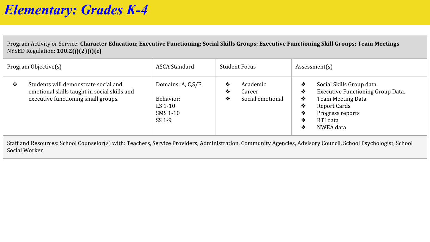Program Activity or Service: **Character Education; Executive Functioning; Social Skills Groups; Executive Functioning Skill Groups; Team Meetings** NYSED Regulation: **100.2(j)(2)(i)(c)**

|                               | Program Objective(s)                                                                                                        | ASCA Standard                                                     |             | Student Focus                          |                                 | Assessment(s)                                                                                                                                                                 |
|-------------------------------|-----------------------------------------------------------------------------------------------------------------------------|-------------------------------------------------------------------|-------------|----------------------------------------|---------------------------------|-------------------------------------------------------------------------------------------------------------------------------------------------------------------------------|
| ❖                             | Students will demonstrate social and<br>emotional skills taught in social skills and<br>executive functioning small groups. | Domains: A, C, S/E,<br>Behavior:<br>LS 1-10<br>SMS 1-10<br>SS 1-9 | ❖<br>❖<br>❖ | Academic<br>Career<br>Social emotional | ❖<br>❖<br>❖<br>❖<br>❖<br>❖<br>❖ | Social Skills Group data.<br><b>Executive Functioning Group Data.</b><br>Team Meeting Data.<br><b>Report Cards</b><br>Progress reports<br>RTI data<br>NWEA data               |
| $\alpha$ , $\alpha$ , $\beta$ |                                                                                                                             |                                                                   |             |                                        |                                 | $\alpha$ ) $\alpha$ ) $\alpha$ ) $\alpha$ ) $\alpha$ ) $\alpha$ ) $\alpha$ ) $\alpha$ ) $\alpha$ ) $\alpha$ ) $\alpha$ ) $\alpha$ ) $\alpha$ ) $\alpha$ ) $\alpha$ ) $\alpha$ |

Staff and Resources: School Counselor(s) with: Teachers, Service Providers, Administration, Community Agencies, Advisory Council, School Psychologist, School Social Worker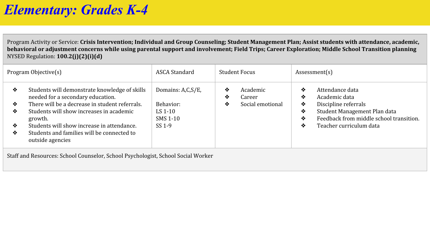Program Activity or Service: **Crisis Intervention; Individual and Group Counseling; Student Management Plan; Assist students with attendance, academic, behavioral or adjustment concerns while using parental support and involvement; Field Trips; Career Exploration; Middle School Transition planning** NYSED Regulation: **100.2(j)(2)(i)(d)**

|             | Program Objective(s)                                                                                                                                                                        | ASCA Standard                                           |             | <b>Student Focus</b>                   |                       | Assessment(s)                                                                                                                       |  |
|-------------|---------------------------------------------------------------------------------------------------------------------------------------------------------------------------------------------|---------------------------------------------------------|-------------|----------------------------------------|-----------------------|-------------------------------------------------------------------------------------------------------------------------------------|--|
| ❖<br>❖<br>❖ | Students will demonstrate knowledge of skills<br>needed for a secondary education.<br>There will be a decrease in student referrals.<br>Students will show increases in academic<br>growth. | Domains: A,C,S/E,<br>Behavior:<br>LS $1-10$<br>SMS 1-10 | ❖<br>❖<br>❖ | Academic<br>Career<br>Social emotional | ❖<br>❖<br>❖<br>❖<br>❖ | Attendance data<br>Academic data<br>Discipline referrals<br>Student Management Plan data<br>Feedback from middle school transition. |  |
| ❖           | Students will show increase in attendance.                                                                                                                                                  | SS 1-9                                                  |             |                                        | ❖                     | Teacher curriculum data                                                                                                             |  |
| ❖           | Students and families will be connected to<br>outside agencies                                                                                                                              |                                                         |             |                                        |                       |                                                                                                                                     |  |
|             | Staff and Resources: School Counselor, School Psychologist, School Social Worker                                                                                                            |                                                         |             |                                        |                       |                                                                                                                                     |  |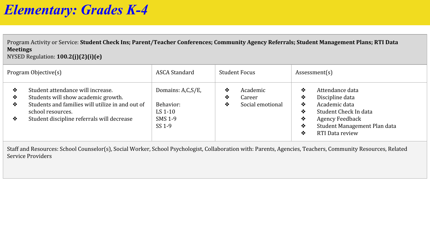Program Activity or Service: **Student Check Ins; Parent/Teacher Conferences; Community Agency Referrals; Student Management Plans; RTI Data Meetings** NYSED Regulation: **100.2(j)(2)(i)(e)**

|                  | Program Objective(s)                                                                                                                                                                            | ASCA Standard                                                  |             | <b>Student Focus</b>                   |                                 | Assessment(s)                                                                                                                                             |
|------------------|-------------------------------------------------------------------------------------------------------------------------------------------------------------------------------------------------|----------------------------------------------------------------|-------------|----------------------------------------|---------------------------------|-----------------------------------------------------------------------------------------------------------------------------------------------------------|
| ❖<br>❖<br>❖<br>❖ | Student attendance will increase.<br>Students will show academic growth.<br>Students and families will utilize in and out of<br>school resources.<br>Student discipline referrals will decrease | Domains: A,C,S/E,<br>Behavior:<br>LS 1-10<br>SMS 1-9<br>SS 1-9 | ❖<br>❖<br>❖ | Academic<br>Career<br>Social emotional | ❖<br>❖<br>❖<br>❖<br>❖<br>❖<br>❖ | Attendance data<br>Discipline data<br>Academic data<br>Student Check In data<br><b>Agency Feedback</b><br>Student Management Plan data<br>RTI Data review |

Staff and Resources: School Counselor(s), Social Worker, School Psychologist, Collaboration with: Parents, Agencies, Teachers, Community Resources, Related Service Providers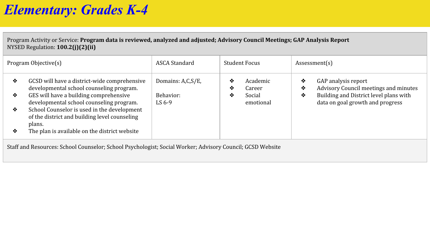Program Activity or Service: **Program data is reviewed, analyzed and adjusted; Advisory Council Meetings; GAP Analysis Report** NYSED Regulation: **100.2(j)(2)(ii)**

|                                                                                                           | Program Objective(s)                                                                                   | ASCA Standard         | <b>Student Focus</b>         | Assessment(s)                                                                   |  |
|-----------------------------------------------------------------------------------------------------------|--------------------------------------------------------------------------------------------------------|-----------------------|------------------------------|---------------------------------------------------------------------------------|--|
| ❖                                                                                                         | GCSD will have a district-wide comprehensive<br>developmental school counseling program.               | Domains: A,C,S/E,     | Academic<br>❖<br>❖<br>Career | GAP analysis report<br>❖<br>Advisory Council meetings and minutes<br>❖          |  |
| ❖                                                                                                         | GES will have a building comprehensive<br>developmental school counseling program.                     | Behavior:<br>LS $6-9$ | Social<br>❖<br>emotional     | Building and District level plans with<br>❖<br>data on goal growth and progress |  |
| ❖                                                                                                         | School Counselor is used in the development<br>of the district and building level counseling<br>plans. |                       |                              |                                                                                 |  |
| ❖                                                                                                         | The plan is available on the district website                                                          |                       |                              |                                                                                 |  |
| Staff and Resources: School Counselor; School Psychologist; Social Worker; Advisory Council; GCSD Website |                                                                                                        |                       |                              |                                                                                 |  |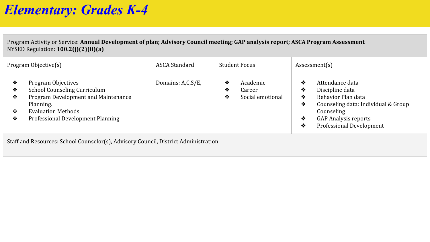Program Activity or Service: **Annual Development of plan; Advisory Council meeting; GAP analysis report; ASCA Program Assessment** NYSED Regulation: **100.2(j)(2)(ii)(a)**

|                       | Program Objective(s)                                                                                                                                                     | ASCA Standard     | <b>Student Focus</b>                                  | Assessment(s)                                                                                                                                                                                          |
|-----------------------|--------------------------------------------------------------------------------------------------------------------------------------------------------------------------|-------------------|-------------------------------------------------------|--------------------------------------------------------------------------------------------------------------------------------------------------------------------------------------------------------|
| ❖<br>❖<br>❖<br>❖<br>❖ | Program Objectives<br>School Counseling Curriculum<br>Program Development and Maintenance<br>Planning.<br><b>Evaluation Methods</b><br>Professional Development Planning | Domains: A,C,S/E, | Academic<br>❖<br>Career<br>❖<br>Social emotional<br>❖ | Attendance data<br>❖<br>Discipline data<br>❖<br>Behavior Plan data<br>❖<br>Counseling data: Individual & Group<br>❖<br>Counseling<br><b>GAP Analysis reports</b><br>❖<br>Professional Development<br>❖ |

Staff and Resources: School Counselor(s), Advisory Council, District Administration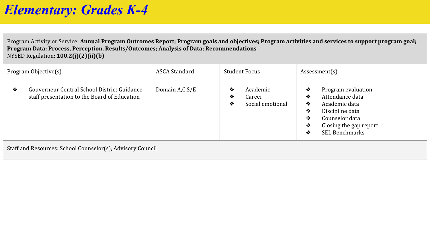Program Activity or Service: **Annual Program Outcomes Report; Program goals and objectives; Program activities and services to support program goal; Program Data: Process, Perception, Results/Outcomes; Analysis of Data; Recommendations** NYSED Regulation: **100.2(j)(2)(ii)(b)**

|                                                            | Program Objective(s)                                                                        | ASCA Standard  |             | Student Focus                          |                                 | Assessment(s)                                                                                                                                  |
|------------------------------------------------------------|---------------------------------------------------------------------------------------------|----------------|-------------|----------------------------------------|---------------------------------|------------------------------------------------------------------------------------------------------------------------------------------------|
| ❖                                                          | Gouverneur Central School District Guidance<br>staff presentation to the Board of Education | Domain A,C,S/E | ❖<br>❖<br>❖ | Academic<br>Career<br>Social emotional | ❖<br>❖<br>❖<br>❖<br>❖<br>❖<br>❖ | Program evaluation<br>Attendance data<br>Academic data<br>Discipline data<br>Counselor data<br>Closing the gap report<br><b>SEL Benchmarks</b> |
| Staff and Resources: School Counselor(s), Advisory Council |                                                                                             |                |             |                                        |                                 |                                                                                                                                                |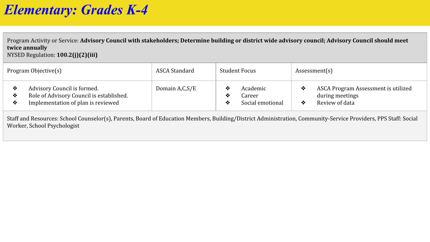Program Activity or Service: **Advisory Council with stakeholders; Determine building or district wide advisory council; Advisory Council should meet twice annually** NYSED Regulation: **100.2(j)(2)(iii)**

| Program Objective(s)                                                                                                    | ASCA Standard  | <b>Student Focus</b>                                   | Assessment(s)                                                            |
|-------------------------------------------------------------------------------------------------------------------------|----------------|--------------------------------------------------------|--------------------------------------------------------------------------|
| Advisory Council is formed.<br>Role of Advisory Council is established.<br>∙<br>Implementation of plan is reviewed<br>❖ | Domain A,C,S/E | Academic<br>≁<br>Jareer<br>∙≫<br>Social emotional<br>≁ | ASCA Program Assessment is utilized<br>during meetings<br>Review of data |

Staff and Resources: School Counselor(s), Parents, Board of Education Members, Building/District Administration, Community-Service Providers, PPS Staff: Social Worker, School Psychologist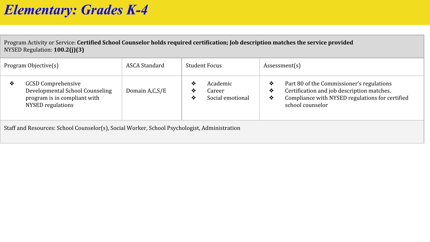Program Activity or Service: **Certified School Counselor holds required certification; Job description matches the service provided** NYSED Regulation: **100.2(j)(3)**

| Program Objective(s)                                                                                                          | ASCA Standard  | Student Focus                                           | Assessment(s)                                                                                                                                                                 |
|-------------------------------------------------------------------------------------------------------------------------------|----------------|---------------------------------------------------------|-------------------------------------------------------------------------------------------------------------------------------------------------------------------------------|
| <b>GCSD Comprehensive</b><br>❖<br>Developmental School Counseling<br>program is in compliant with<br><b>NYSED</b> regulations | Domain A,C,S/E | Academic<br>❖<br>Career<br>∙⊗<br>Social emotional<br>∙⊗ | Part 80 of the Commissioner's regulations<br>❖<br>Certification and job description matches.<br>❖<br>Compliance with NYSED regulations for certified<br>❖<br>school counselor |

Staff and Resources: School Counselor(s), Social Worker, School Psychologist, Administration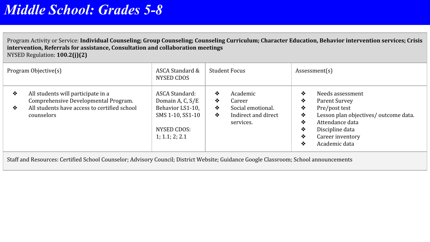<span id="page-15-0"></span>Program Activity or Service: **Individual Counseling; Group Counseling; Counseling Curriculum; Character Education, Behavior intervention services; Crisis intervention, Referrals for assistance, Consultation and collaboration meetings** NYSED Regulation: **100.2(j)(2)**

| Program Objective(s) |                                                                                                                                          | ASCA Standard &<br>NYSED CDOS                                                                               | <b>Student Focus</b> |                                                                             | Assessment(s)                        |                                                                                                                                                                        |
|----------------------|------------------------------------------------------------------------------------------------------------------------------------------|-------------------------------------------------------------------------------------------------------------|----------------------|-----------------------------------------------------------------------------|--------------------------------------|------------------------------------------------------------------------------------------------------------------------------------------------------------------------|
| ❖<br>❖               | All students will participate in a<br>Comprehensive Developmental Program.<br>All students have access to certified school<br>counselors | ASCA Standard:<br>Domain A, C, S/E<br>Behavior LS1-10,<br>SMS 1-10, SS1-10<br>NYSED CDOS:<br>1; 1.1; 2; 2.1 | ❖<br>❖<br>❖<br>❖     | Academic<br>Career<br>Social emotional.<br>Indirect and direct<br>services. | ❖<br>❖<br>❖<br>❖<br>❖<br>❖<br>❖<br>❖ | Needs assessment<br>Parent Survey<br>Pre/post test<br>Lesson plan objectives/ outcome data.<br>Attendance data<br>Discipline data<br>Career inventory<br>Academic data |

Staff and Resources: Certified School Counselor; Advisory Council; District Website; Guidance Google Classroom; School announcements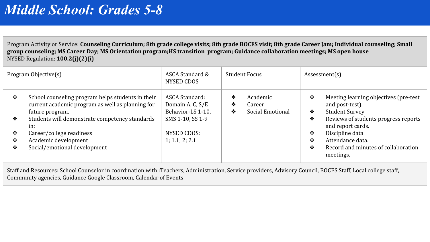Program Activity or Service: **Counseling Curriculum; 8th grade college visits; 8th grade BOCES visit; 8th grade Career Jam; Individual counseling; Small group counseling; MS Career Day; MS Orientation program;HS transition program; Guidance collaboration meetings; MS open house** NYSED Regulation: **100.2(j)(2)(i)**

| Program Objective(s) |                                                                                                                                                                                                                                       | ASCA Standard &<br><b>Student Focus</b><br>NYSED CDOS                                                        |                                                       | Assessment(s)                                                                                                                                                                                                  |  |
|----------------------|---------------------------------------------------------------------------------------------------------------------------------------------------------------------------------------------------------------------------------------|--------------------------------------------------------------------------------------------------------------|-------------------------------------------------------|----------------------------------------------------------------------------------------------------------------------------------------------------------------------------------------------------------------|--|
| ❖<br>❖<br>❖<br>❖     | School counseling program helps students in their<br>current academic program as well as planning for<br>future program.<br>Students will demonstrate competency standards<br>in:<br>Career/college readiness<br>Academic development | ASCA Standard:<br>Domain A, C, S/E<br>Behavior-LS 1-10,<br>SMS 1-10, SS 1-9<br>NYSED CDOS:<br>1; 1.1; 2; 2.1 | ❖<br>Academic<br>❖<br>Career<br>Social Emotional<br>❖ | ❖<br>Meeting learning objectives (pre-test<br>and post-test).<br>❖<br><b>Student Survey</b><br>Reviews of students progress reports<br>❖<br>and report cards.<br>❖<br>Discipline data<br>Attendance data.<br>❖ |  |
| ❖                    | Social/emotional development                                                                                                                                                                                                          |                                                                                                              |                                                       | ❖<br>Record and minutes of collaboration<br>meetings.                                                                                                                                                          |  |

Staff and Resources: School Counselor in coordination with :Teachers, Administration, Service providers, Advisory Council, BOCES Staff, Local college staff, Community agencies, Guidance Google Classroom, Calendar of Events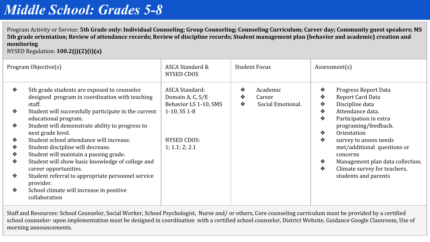Program Activity or Service: **5th Grade only: Individual Counseling; Group Counseling; Counseling Curriculum; Career day; Community guest speakers; MS 5th grade orientation; Review of attendance records; Review of discipline records; Student management plan (behavior and academic) creation and monitoring** 

NYSED Regulation: **100.2(j)(2)(i)(a)**

|                                 | Program Objective(s)                                                                                                                                                                                                                                                                                                                                                                                        | ASCA Standard &<br>NYSED CDOS                                                           | <b>Student Focus</b>                                   | Assessment(s)                                                                                                                                                                                                            |
|---------------------------------|-------------------------------------------------------------------------------------------------------------------------------------------------------------------------------------------------------------------------------------------------------------------------------------------------------------------------------------------------------------------------------------------------------------|-----------------------------------------------------------------------------------------|--------------------------------------------------------|--------------------------------------------------------------------------------------------------------------------------------------------------------------------------------------------------------------------------|
| ❖<br>❖                          | 5th grade students are exposed to counselor<br>designed program in coordination with teaching<br>staff.<br>Student will successfully participate in the current<br>educational program.                                                                                                                                                                                                                     | <b>ASCA Standard:</b><br>Domain A, C, S/E<br>Behavior LS 1-10, SMS<br>$1-10$ , SS $1-8$ | ❖<br>Academic<br>❖<br>Career<br>Social Emotional.<br>❖ | Progress Report Data<br>❖<br>Report Card Data<br>❖<br>Discipline data<br>❖<br>Attendance data.<br>❖<br>❖<br>Participation in extra                                                                                       |
| ❖<br>❖<br>❖<br>❖<br>❖<br>❖<br>❖ | Student will demonstrate ability to progress to<br>next grade level.<br>Student school attendance will increase.<br>Student discipline will decrease.<br>Student will maintain a passing grade.<br>Student will show basic knowledge of college and<br>career opportunities.<br>Student referral to appropriate personnel service<br>provider.<br>School climate will increase in positive<br>collaboration | NYSED CDOS:<br>1; 1.1; 2; 2.1                                                           |                                                        | programing/feedback.<br>Orientation<br>❖<br>❖<br>survey to assess needs<br>met/additional questions or<br>concerns<br>Management plan data collection.<br>❖<br>❖<br>Climate survey for teachers,<br>students and parents |

Staff and Resources: School Counselor, Social Worker, School Psychologist, Nurse and/ or others, Core counseling curriculum must be provided by a certified school counselor- upon implementation must be designed in coordination with a certified school counselor, District Website, Guidance Google Classroom, Use of morning announcements.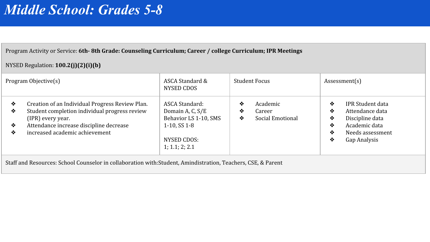#### Program Activity or Service: **6th- 8th Grade: Counseling Curriculum; Career / college Curriculum; IPR Meetings**

#### NYSED Regulation: **100.2(j)(2)(i)(b)**

| ASCA Standard:<br>Creation of an Individual Progress Review Plan.<br>IPR Student data<br>Academic<br>❖<br>❖<br>❖<br>Student completion individual progress review<br>Domain A, C, S/E<br>Attendance data<br>❖<br>Career<br>❖<br>❖ | Program Objective(s) | ASCA Standard &<br>NYSED CDOS | Student Focus         | Assessment(s)        |
|-----------------------------------------------------------------------------------------------------------------------------------------------------------------------------------------------------------------------------------|----------------------|-------------------------------|-----------------------|----------------------|
| Attendance increase discipline decrease<br>Academic data<br>$1-10.$ SS $1-8$<br>❖<br>❖<br>increased academic achievement<br>❖<br>Needs assessment<br>❖<br>NYSED CDOS:<br>Gap Analysis<br>❖<br>1; 1.1; 2; 2.1                      | (IPR) every year.    | Behavior LS 1-10, SMS         | Social Emotional<br>❖ | Discipline data<br>❖ |

Staff and Resources: School Counselor in collaboration with:Student, Amindistration, Teachers, CSE, & Parent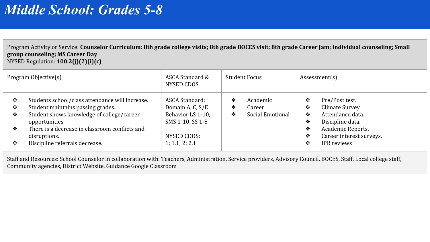Program Activity or Service: **Counselor Curriculum: 8th grade college visits; 8th grade BOCES visit; 8th grade Career Jam; Individual counseling; Small group counseling; MS Career Day** NYSED Regulation: **100.2(j)(2)(i)(c)**

| Program Objective(s)  |                                                                                                                                                                                                                                                        | ASCA Standard &<br>NYSED CDOS                                                                                | <b>Student Focus</b> |                                        | Assessment(s)                   |                                                                                                                                                 |
|-----------------------|--------------------------------------------------------------------------------------------------------------------------------------------------------------------------------------------------------------------------------------------------------|--------------------------------------------------------------------------------------------------------------|----------------------|----------------------------------------|---------------------------------|-------------------------------------------------------------------------------------------------------------------------------------------------|
| ❖<br>❖<br>❖<br>❖<br>❖ | Students school/class attendance will increase.<br>Student maintains passing grades.<br>Student shows knowledge of college/career<br>opportunities<br>There is a decrease in classroom conflicts and<br>disruptions.<br>Discipline referrals decrease. | ASCA Standard:<br>Domain A, C, S/E<br>Behavior LS 1-10,<br>SMS 1-10, SS 1-8<br>NYSED CDOS:<br>1; 1.1; 2; 2.1 | ❖<br>❖<br>❖          | Academic<br>Career<br>Social Emotional | ❖<br>❖<br>❖<br>❖<br>❖<br>❖<br>❖ | Pre/Post test.<br>Climate Survey<br>Attendance data.<br>Discipline data.<br>Academic Reports.<br>Career interest surveys.<br><b>IPR</b> reviews |

Staff and Resources: School Counselor in collaboration with: Teachers, Administration, Service providers, Advisory Council, BOCES, Staff, Local college staff, Community agencies, District Website, Guidance Google Classroom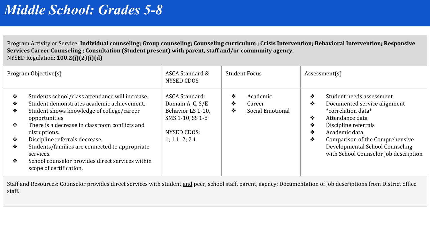Program Activity or Service: **Individual counseling; Group counseling; Counseling curriculum ; Crisis Intervention; Behavioral Intervention; Responsive Services Career Counseling ; Consultation (Student present) with parent, staff and/or community agency.** NYSED Regulation: **100.2(j)(2)(i)(d)**

|                                 | Program Objective(s)                                                                                                                                                                                                                                                                                                                                                                                          | ASCA Standard &<br>NYSED CDOS                                                                                | <b>Student Focus</b>                                  | Assessment(s)                                                                                                                                                                                                                                                                           |
|---------------------------------|---------------------------------------------------------------------------------------------------------------------------------------------------------------------------------------------------------------------------------------------------------------------------------------------------------------------------------------------------------------------------------------------------------------|--------------------------------------------------------------------------------------------------------------|-------------------------------------------------------|-----------------------------------------------------------------------------------------------------------------------------------------------------------------------------------------------------------------------------------------------------------------------------------------|
| ❖<br>❖<br>❖<br>❖<br>❖<br>❖<br>❖ | Students school/class attendance will increase.<br>Student demonstrates academic achievement.<br>Student shows knowledge of college/career<br>opportunities<br>There is a decrease in classroom conflicts and<br>disruptions.<br>Discipline referrals decrease.<br>Students/families are connected to appropriate<br>services.<br>School counselor provides direct services within<br>scope of certification. | ASCA Standard:<br>Domain A, C, S/E<br>Behavior LS 1-10,<br>SMS 1-10, SS 1-8<br>NYSED CDOS:<br>1; 1.1; 2; 2.1 | ❖<br>Academic<br>❖<br>Career<br>Social Emotional<br>❖ | Student needs assessment<br>❖<br>❖<br>Documented service alignment<br>*correlation data*<br>❖<br>Attendance data<br>❖<br>Discipline referrals<br>❖<br>Academic data<br>❖<br>Comparison of the Comprehensive<br>Developmental School Counseling<br>with School Counselor job description |

Staff and Resources: Counselor provides direct services with student and peer, school staff, parent, agency; Documentation of job descriptions from District office staff.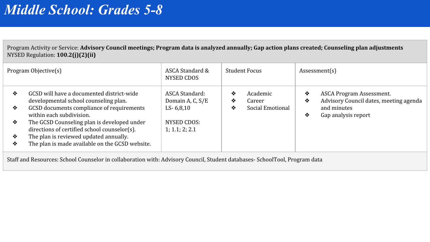Program Activity or Service: **Advisory Council meetings; Program data is analyzed annually; Gap action plans created; Counseling plan adjustments** NYSED Regulation: **100.2(j)(2)(ii)**

| Program Objective(s) |                                                                                             | ASCA Standard &<br><b>Student Focus</b><br>NYSED CDOS |                              | Assessment(s)                                                                |  |
|----------------------|---------------------------------------------------------------------------------------------|-------------------------------------------------------|------------------------------|------------------------------------------------------------------------------|--|
| ❖                    | GCSD will have a documented district-wide<br>developmental school counseling plan.          | ASCA Standard:<br>Domain A, C, S/E                    | ❖<br>Academic<br>❖<br>Career | ASCA Program Assessment.<br>❖<br>Advisory Council dates, meeting agenda<br>❖ |  |
| ❖                    | GCSD documents compliance of requirements<br>within each subdivision.                       | $LS - 6,8,10$                                         | Social Emotional<br>❖        | and minutes<br>❖<br>Gap analysis report                                      |  |
| ❖                    | The GCSD Counseling plan is developed under<br>directions of certified school counselor(s). | NYSED CDOS:<br>1; 1.1; 2; 2.1                         |                              |                                                                              |  |
| ❖                    | The plan is reviewed updated annually.                                                      |                                                       |                              |                                                                              |  |
| ❖                    | The plan is made available on the GCSD website.                                             |                                                       |                              |                                                                              |  |
|                      |                                                                                             |                                                       |                              |                                                                              |  |

Staff and Resources: School Counselor in collaboration with: Advisory Council, Student databases- SchoolTool, Program data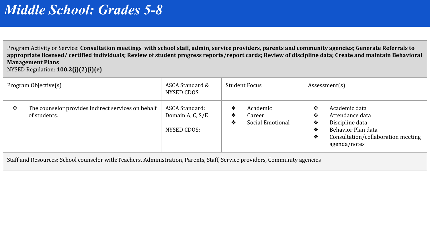Program Activity or Service: **Consultation meetings with school staff, admin, service providers, parents and community agencies; Generate Referrals to appropriate licensed/ certified individuals; Review of student progress reports/report cards; Review of discipline data; Create and maintain Behavioral Management Plans** NYSED Regulation: **100.2(j)(2)(i)(e)**

| Program Objective(s)                                                    | ASCA Standard &<br>NYSED CDOS                     | Student Focus                                         | Assessment(s)                                                                                                                                            |  |
|-------------------------------------------------------------------------|---------------------------------------------------|-------------------------------------------------------|----------------------------------------------------------------------------------------------------------------------------------------------------------|--|
| The counselor provides indirect services on behalf<br>❖<br>of students. | ASCA Standard:<br>Domain A, C, S/E<br>NYSED CDOS: | Academic<br>❖<br>Career<br>❖<br>Social Emotional<br>❖ | Academic data<br>❖<br>Attendance data<br>❖<br>Discipline data<br>❖<br>Behavior Plan data<br>❖<br>Consultation/collaboration meeting<br>❖<br>agenda/notes |  |

Staff and Resources: School counselor with:Teachers, Administration, Parents, Staff, Service providers, Community agencies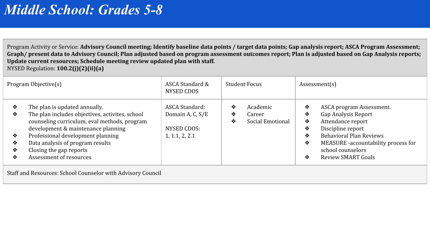Program Activity or Service: **Advisory Council meeting; Identify baseline data points / target data points; Gap analysis report; ASCA Program Assessment; Graph/ present data to Advisory Council; Plan adjusted based on program assessment outcomes report; Plan is adjusted based on Gap Analysis reports; Update current resources; Schedule meeting review updated plan with staff.** NYSED Regulation: **100.2(j)(2)(ii)(a)**

| Program Objective(s)       |                                                                                                                                                                                                                                                                                                       | ASCA Standard &<br>NYSED CDOS                                       | <b>Student Focus</b> |                                        | Assessment(s)                   |                                                                                                                                                                                                               |  |
|----------------------------|-------------------------------------------------------------------------------------------------------------------------------------------------------------------------------------------------------------------------------------------------------------------------------------------------------|---------------------------------------------------------------------|----------------------|----------------------------------------|---------------------------------|---------------------------------------------------------------------------------------------------------------------------------------------------------------------------------------------------------------|--|
| ❖<br>❖<br>❖<br>❖<br>❖<br>❖ | The plan is updated annually.<br>The plan includes objectives, activites, school<br>counseling curriculum, eval methods, program<br>development & maintenance planning<br>Professional development planning<br>Data analysis of program results<br>Closing the gap reports<br>Assessment of resources | ASCA Standard:<br>Domain A, C, S/E<br>NYSED CDOS:<br>1, 1.1, 2, 2.1 | ❖<br>❖<br>❖          | Academic<br>Career<br>Social Emotional | ❖<br>❖<br>❖<br>❖<br>❖<br>❖<br>❖ | ASCA program Assessment.<br>Gap Analysis Report<br>Attendance report<br>Discipline report<br><b>Behavioral Plan Reviews</b><br>MEASURE -accountability process for<br>school counselors<br>Review SMART Goals |  |

Staff and Resources: School Counselor with Advisory Council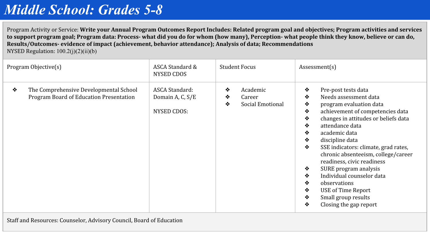Program Activity or Service: **Write your Annual Program Outcomes Report Includes: Related program goal and objectives; Program activities and services to support program goal; Program data: Process- what did you do for whom (how many), Perception- what people think they know, believe or can do, Results/Outcomes- evidence of impact (achievement, behavior attendance); Analysis of data; Recommendations**  NYSED Regulation:  $100.2(i)(2)(ii)(b)$ 

| Program Objective(s) |                                                                                   | ASCA Standard &<br><b>Student Focus</b><br>NYSED CDOS |             | Assessment(s)                          |                                                                         |                                                                                                                                                                                                                                                                                                                                                                                                                                                                             |
|----------------------|-----------------------------------------------------------------------------------|-------------------------------------------------------|-------------|----------------------------------------|-------------------------------------------------------------------------|-----------------------------------------------------------------------------------------------------------------------------------------------------------------------------------------------------------------------------------------------------------------------------------------------------------------------------------------------------------------------------------------------------------------------------------------------------------------------------|
| ❖                    | The Comprehensive Developmental School<br>Program Board of Education Presentation | ASCA Standard:<br>Domain A, C, S/E<br>NYSED CDOS:     | ❖<br>❖<br>❖ | Academic<br>Career<br>Social Emotional | ❖<br>❖<br>❖<br>❖<br>❖<br>❖<br>❖<br>❖<br>❖<br>❖<br>❖<br>❖<br>❖<br>❖<br>❖ | Pre-post tests data<br>Needs assessment data<br>program evaluation data<br>achievement of competencies data<br>changes in attitudes or beliefs data<br>attendance data<br>academic data<br>discipline data<br>SSE indicators: climate, grad rates,<br>chronic absenteeism, college/career<br>readiness, civic readiness<br>SURE program analysis<br>Individual counselor data<br>observations<br><b>USE of Time Report</b><br>Small group results<br>Closing the gap report |

Staff and Resources: Counselor, Advisory Council, Board of Education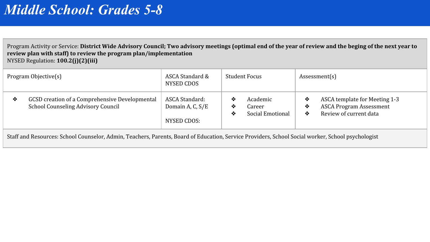Program Activity or Service: **District Wide Advisory Council; Two advisory meetings (optimal end of the year of review and the beging of the next year to review plan with staff) to review the program plan/implementation** NYSED Regulation: **100.2(j)(2)(iii)**

| Program Objective(s) |                                                                                      | ASCA Standard &<br>NYSED CDOS                     | <b>Student Focus</b>                                  | Assessment(s)                                                                                             |  |
|----------------------|--------------------------------------------------------------------------------------|---------------------------------------------------|-------------------------------------------------------|-----------------------------------------------------------------------------------------------------------|--|
| ❖                    | GCSD creation of a Comprehensive Developmental<br>School Counseling Advisory Council | ASCA Standard:<br>Domain A, C, S/E<br>NYSED CDOS: | Academic<br>❖<br>Career<br>❖<br>Social Emotional<br>∙ | ASCA template for Meeting 1-3<br>❖<br><b>ASCA Program Assessment</b><br>∙<br>Review of current data<br>∙™ |  |
|                      |                                                                                      |                                                   |                                                       |                                                                                                           |  |

Staff and Resources: School Counselor, Admin, Teachers, Parents, Board of Education, Service Providers, School Social worker, School psychologist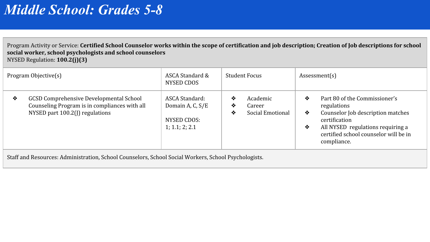Program Activity or Service: **Certified School Counselor works within the scope of certification and job description; Creation of Job descriptions for school social worker, school psychologists and school counselors** NYSED Regulation: **100.2(j)(3)**

| Program Objective(s) |                                                                                                                                    | ASCA Standard &<br>NYSED CDOS                                       | <b>Student Focus</b> |                                        | Assessment(s) |                                                                                                                                                                                                 |
|----------------------|------------------------------------------------------------------------------------------------------------------------------------|---------------------------------------------------------------------|----------------------|----------------------------------------|---------------|-------------------------------------------------------------------------------------------------------------------------------------------------------------------------------------------------|
| ❖                    | <b>GCSD Comprehensive Developmental School</b><br>Counseling Program is in compliances with all<br>NYSED part 100.2(J) regulations | ASCA Standard:<br>Domain A, C, S/E<br>NYSED CDOS:<br>1; 1.1; 2; 2.1 | ❖<br>❖<br>❖          | Academic<br>Career<br>Social Emotional | ❖<br>❖<br>❖   | Part 80 of the Commissioner's<br>regulations<br>Counselor Job description matches<br>certification<br>All NYSED regulations requiring a<br>certified school counselor will be in<br>compliance. |
|                      |                                                                                                                                    |                                                                     |                      |                                        |               |                                                                                                                                                                                                 |

Staff and Resources: Administration, School Counselors, School Social Workers, School Psychologists.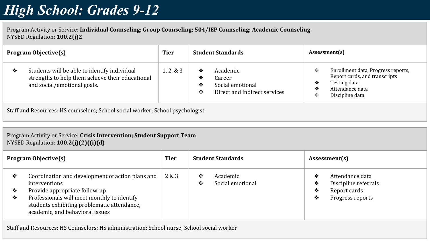<span id="page-27-0"></span>Program Activity or Service: **Individual Counseling; Group Counseling; 504/IEP Counseling; Academic Counseling** NYSED Regulation: **100.2(j)2**

| <b>Program Objective(s)</b> |                                                                                                                                 | <b>Tier</b> | <b>Student Standards</b>                                                      |                                                                        | Assessment(s) |                                                                                                                           |  |  |  |  |  |
|-----------------------------|---------------------------------------------------------------------------------------------------------------------------------|-------------|-------------------------------------------------------------------------------|------------------------------------------------------------------------|---------------|---------------------------------------------------------------------------------------------------------------------------|--|--|--|--|--|
| ❖                           | Students will be able to identify individual<br>strengths to help them achieve their educational<br>and social/emotional goals. | 1, 2, 8, 3  | ❖<br>❖<br>❖<br>❖                                                              | Academic<br>Career<br>Social emotional<br>Direct and indirect services | ❖<br>❖<br>❖   | Enrollment data, Progress reports,<br>Report cards, and transcripts<br>Testing data<br>Attendance data<br>Discipline data |  |  |  |  |  |
|                             |                                                                                                                                 |             | Staff and Resources: HS counselors; School social worker; School psychologist |                                                                        |               |                                                                                                                           |  |  |  |  |  |

Program Activity or Service: **Crisis Intervention; Student Support Team**

NYSED Regulation: **100.2(j)(2)((i)(d)**

|             | <b>Program Objective(s)</b>                                                                                                                                                                                                         | <b>Tier</b> |        | <b>Student Standards</b>     |                  | Assessment(s)                                                               |
|-------------|-------------------------------------------------------------------------------------------------------------------------------------------------------------------------------------------------------------------------------------|-------------|--------|------------------------------|------------------|-----------------------------------------------------------------------------|
| ❖<br>❖<br>❖ | Coordination and development of action plans and<br>interventions<br>Provide appropriate follow-up<br>Professionals will meet monthly to identify<br>students exhibiting problematic attendance,<br>academic, and behavioral issues | 2 & 3       | ❖<br>❖ | Academic<br>Social emotional | ❖<br>❖<br>❖<br>❖ | Attendance data<br>Discipline referrals<br>Report cards<br>Progress reports |

Staff and Resources: HS Counselors; HS administration; School nurse; School social worker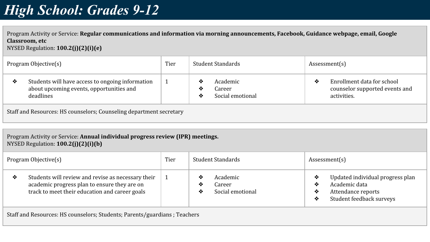Program Activity or Service: **Regular communications and information via morning announcements, Facebook, Guidance webpage, email, Google Classroom, etc** NYSED Regulation: **100.2(j)(2)(i)(e)**

| Program Objective(s) |                                                                                                           | Tier | Student Standards |                                        | Assessment(s) |                                                                             |  |  |
|----------------------|-----------------------------------------------------------------------------------------------------------|------|-------------------|----------------------------------------|---------------|-----------------------------------------------------------------------------|--|--|
| ❖                    | Students will have access to ongoing information<br>about upcoming events, opportunities and<br>deadlines |      | ∙⊗<br>❖<br>❖      | Academic<br>Career<br>Social emotional | ❖             | Enrollment data for school<br>counselor supported events and<br>activities. |  |  |
|                      | Staff and Resources: HS counselors; Counseling department secretary                                       |      |                   |                                        |               |                                                                             |  |  |

Program Activity or Service: **Annual individual progress review (IPR) meetings.** NYSED Regulation: **100.2(j)(2)(i)(b)**

| Program Objective(s) |                                                                                                                                                      | Tier | Student Standards                                      | Assessment(s)                                                                                                           |
|----------------------|------------------------------------------------------------------------------------------------------------------------------------------------------|------|--------------------------------------------------------|-------------------------------------------------------------------------------------------------------------------------|
| ❖                    | Students will review and revise as necessary their<br>academic progress plan to ensure they are on<br>track to meet their education and career goals |      | Academic<br>❖<br>Career<br>❖<br>Social emotional<br>∙⊗ | Updated individual progress plan<br>❖<br>Academic data<br>❖<br>Attendance reports<br>❖<br>Student feedback surveys<br>❖ |
|                      |                                                                                                                                                      |      |                                                        |                                                                                                                         |

Staff and Resources: HS counselors; Students; Parents/guardians ; Teachers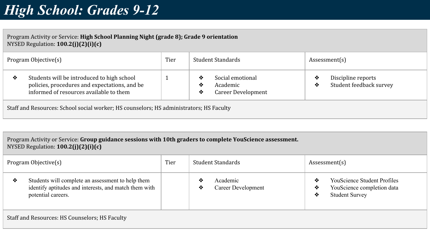Program Activity or Service: **High School Planning Night (grade 8); Grade 9 orientation** NYSED Regulation: **100.2(j)(2)(i)(c)**

| Program Objective(s)                                                                    |                                                                                                                                        | Tier |               | Student Standards                                  |        | Assessment(s)                                 |  |
|-----------------------------------------------------------------------------------------|----------------------------------------------------------------------------------------------------------------------------------------|------|---------------|----------------------------------------------------|--------|-----------------------------------------------|--|
| ❖                                                                                       | Students will be introduced to high school<br>policies, procedures and expectations, and be<br>informed of resources available to them |      | ❖<br>∙⊱<br>∙⊱ | Social emotional<br>Academic<br>Career Development | ❖<br>❖ | Discipline reports<br>Student feedback survey |  |
| Staff and Resources: School social worker; HS counselors; HS administrators; HS Faculty |                                                                                                                                        |      |               |                                                    |        |                                               |  |

Program Activity or Service: **Group guidance sessions with 10th graders to complete YouScience assessment.** NYSED Regulation: **100.2(j)(2)(i)(c)**

| Program Objective(s) |                                                                                                                                  | Tier | Student Standards |                                | Assessment(s) |                                                                                           |  |  |
|----------------------|----------------------------------------------------------------------------------------------------------------------------------|------|-------------------|--------------------------------|---------------|-------------------------------------------------------------------------------------------|--|--|
| ❖                    | Students will complete an assessment to help them<br>identify aptitudes and interests, and match them with<br>potential careers. |      | ❖<br>❖            | Academic<br>Career Development | ≪<br>∙<br>❖   | <b>YouScience Student Profiles</b><br>YouScience completion data<br><b>Student Survey</b> |  |  |
|                      | Staff and Resources: HS Counselors; HS Faculty                                                                                   |      |                   |                                |               |                                                                                           |  |  |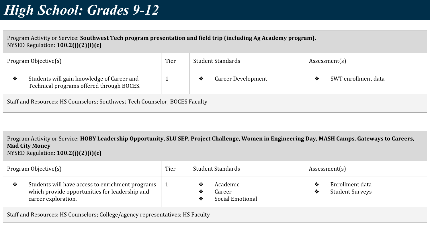Program Activity or Service: **Southwest Tech program presentation and field trip (including Ag Academy program).** NYSED Regulation: **100.2(j)(2)(i)(c)**

| Program Objective(s) |                                                                                         | Tier | Student Standards |                           | Assessment(s) |                     |  |
|----------------------|-----------------------------------------------------------------------------------------|------|-------------------|---------------------------|---------------|---------------------|--|
| ❖                    | Students will gain knowledge of Career and<br>Technical programs offered through BOCES. |      | ❖                 | <b>Career Development</b> |               | SWT enrollment data |  |
|                      | Staff and Resources: HS Counselors; Southwest Tech Counselor; BOCES Faculty             |      |                   |                           |               |                     |  |

Program Activity or Service: **HOBY Leadership Opportunity, SLU SEP, Project Challenge, Women in Engineering Day, MASH Camps, Gateways to Careers, Mad City Money** NYSED Regulation: **100.2(j)(2)(i)(c)**

| Program Objective(s) |                                                                                                                           | Tier |             | Student Standards                      |         | Assessment(s)                             |  |  |
|----------------------|---------------------------------------------------------------------------------------------------------------------------|------|-------------|----------------------------------------|---------|-------------------------------------------|--|--|
| ❖                    | Students will have access to enrichment programs<br>which provide opportunities for leadership and<br>career exploration. |      | ❖<br>❖<br>❖ | Academic<br>Career<br>Social Emotional | ∙≫<br>❖ | Enrollment data<br><b>Student Surveys</b> |  |  |
|                      | Staff and Resources: HS Counselors; College/agency representatives; HS Faculty                                            |      |             |                                        |         |                                           |  |  |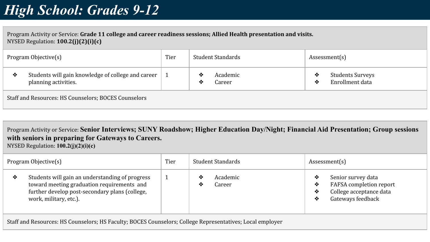Program Activity or Service: **Grade 11 college and career readiness sessions; Allied Health presentation and visits.** NYSED Regulation: **100.2(j)(2)(i)(c)**

| Program Objective(s) |                                                                            | Tier |        | Student Standards  |        | Assessment(s)                              |
|----------------------|----------------------------------------------------------------------------|------|--------|--------------------|--------|--------------------------------------------|
| ❖                    | Students will gain knowledge of college and career<br>planning activities. |      | ∙<br>❖ | Academic<br>Career | ❖<br>∙ | <b>Students Surveys</b><br>Enrollment data |
|                      | Staff and Resources: HS Counselors; BOCES Counselors                       |      |        |                    |        |                                            |

Program Activity or Service: **Senior Interviews; SUNY Roadshow; Higher Education Day/Night; Financial Aid Presentation; Group sessions with seniors in preparing for Gateways to Careers.** NYSED Regulation: **100.2(j)(2)(i)(c)**

| Program Objective(s) |                                                                                                                                                                           | Tier | Student Standards            | Assessment(s)                                                                                                       |  |
|----------------------|---------------------------------------------------------------------------------------------------------------------------------------------------------------------------|------|------------------------------|---------------------------------------------------------------------------------------------------------------------|--|
| ❖                    | Students will gain an understanding of progress<br>toward meeting graduation requirements and<br>further develop post-secondary plans (college,<br>work, military, etc.). |      | Academic<br>❖<br>Career<br>❖ | Senior survey data<br><b>FAFSA</b> completion report<br>❖<br>College acceptance data<br>❖<br>Gateways feedback<br>❖ |  |
|                      |                                                                                                                                                                           |      |                              |                                                                                                                     |  |

Staff and Resources: HS Counselors; HS Faculty; BOCES Counselors; College Representatives; Local employer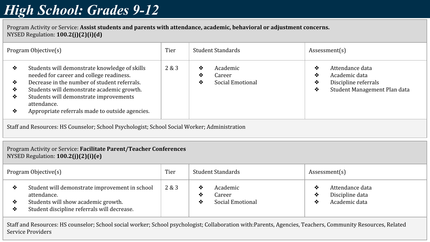Program Activity or Service: **Assist students and parents with attendance, academic, behavioral or adjustment concerns.** NYSED Regulation: **100.2(j)(2)(i)(d)**

| Program Objective(s)                                                                         |                                                                                                                                                                                                                                                                                                     | Tier  | Student Standards                                     | Assessment(s)                                                                                                |  |  |  |  |  |
|----------------------------------------------------------------------------------------------|-----------------------------------------------------------------------------------------------------------------------------------------------------------------------------------------------------------------------------------------------------------------------------------------------------|-------|-------------------------------------------------------|--------------------------------------------------------------------------------------------------------------|--|--|--|--|--|
| ❖<br>❖<br>❖<br>❖<br>❖                                                                        | Students will demonstrate knowledge of skills<br>needed for career and college readiness.<br>Decrease in the number of student referrals.<br>Students will demonstrate academic growth.<br>Students will demonstrate improvements<br>attendance.<br>Appropriate referrals made to outside agencies. | 2 & 3 | ❖<br>Academic<br>❖<br>Career<br>Social Emotional<br>❖ | ❖<br>Attendance data<br>Academic data<br>❖<br>Discipline referrals<br>❖<br>Student Management Plan data<br>❖ |  |  |  |  |  |
| Staff and Resources: HS Counselor; School Psychologist; School Social Worker; Administration |                                                                                                                                                                                                                                                                                                     |       |                                                       |                                                                                                              |  |  |  |  |  |
|                                                                                              | Program Activity or Service: Facilitate Parent/Teacher Conferences<br>NYSED Regulation: 100.2(j)(2)(i)(e)                                                                                                                                                                                           |       |                                                       |                                                                                                              |  |  |  |  |  |
|                                                                                              | <b>Drogram Objective</b><br>Tior<br>Student Standarde<br>$\Lambda$ ccoccmont(c)                                                                                                                                                                                                                     |       |                                                       |                                                                                                              |  |  |  |  |  |

| 2 & 3<br>Student will demonstrate improvement in school<br>Attendance data<br>Academic<br>❖<br>Discipline data<br>attendance.<br>❖<br>Career<br>Students will show academic growth.<br>Social Emotional<br>Academic data<br>❖ | Program Objective(s) |                                             | Tier | Student Standards |  |  | Assessment(s) |  |
|-------------------------------------------------------------------------------------------------------------------------------------------------------------------------------------------------------------------------------|----------------------|---------------------------------------------|------|-------------------|--|--|---------------|--|
|                                                                                                                                                                                                                               |                      | Student discipline referrals will decrease. |      |                   |  |  |               |  |

Staff and Resources: HS counselor; School social worker; School psychologist; Collaboration with:Parents, Agencies, Teachers, Community Resources, Related Service Providers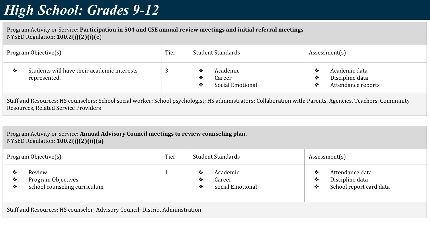Program Activity or Service: **Participation in 504 and CSE annual review meetings and initial referral meetings** NYSED Regulation: **100.2(j)(2)(i)(e**)

| Program Objective(s) |                                                             | Tier | Student Standards                                      | Assessment(s)                                                          |  |
|----------------------|-------------------------------------------------------------|------|--------------------------------------------------------|------------------------------------------------------------------------|--|
| ∙                    | Students will have their academic interests<br>represented. | ే    | Academic<br>∙≫<br>Career<br>❖<br>Social Emotional<br>∙ | Academic data<br>∙≫<br>Discipline data<br>❖<br>Attendance reports<br>❖ |  |

Staff and Resources: HS counselors; School social worker; School psychologist; HS administrators; Collaboration with: Parents, Agencies, Teachers, Community Resources, Related Service Providers

#### Program Activity or Service: **Annual Advisory Council meetings to review counseling plan.** NYSED Regulation: **100.2(j)(2)(ii)(a)**

| Program Objective(s)                                                         |                                                               | Tier | Student Standards |                                        |             | Assessment(s)                                                 |
|------------------------------------------------------------------------------|---------------------------------------------------------------|------|-------------------|----------------------------------------|-------------|---------------------------------------------------------------|
| ≁<br>❖<br>❖                                                                  | Review:<br>Program Objectives<br>School counseling curriculum |      | ❖<br>❖<br>❖       | Academic<br>Career<br>Social Emotional | ❖<br>❖<br>❖ | Attendance data<br>Discipline data<br>School report card data |
| Staff and Resources: HS counselor; Advisory Council; District Administration |                                                               |      |                   |                                        |             |                                                               |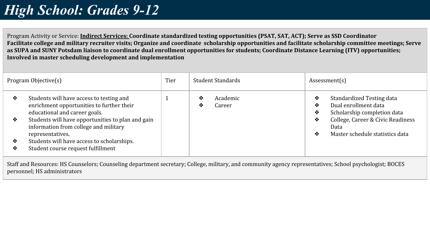Program Activity or Service: **Indirect Services: Coordinate standardized testing opportunities (PSAT, SAT, ACT); Serve as SSD Coordinator Facilitate college and military recruiter visits; Organize and coordinate scholarship opportunities and facilitate scholarship committee meetings; Serve as SUPA and SUNY Potsdam liaison to coordinate dual enrollment opportunities for students; Coordinate Distance Learning (ITV) opportunities; Involved in master scheduling development and implementation**

| Program Objective(s) |                                                                                                                                                                                                                                                                                                                              | Tier | Student Standards            | Assessment(s)                                                                                                                                                                             |  |
|----------------------|------------------------------------------------------------------------------------------------------------------------------------------------------------------------------------------------------------------------------------------------------------------------------------------------------------------------------|------|------------------------------|-------------------------------------------------------------------------------------------------------------------------------------------------------------------------------------------|--|
| ❖<br>❖<br>❖<br>❖     | Students will have access to testing and<br>enrichment opportunities to further their<br>educational and career goals.<br>Students will have opportunities to plan and gain<br>information from college and military<br>representatives.<br>Students will have access to scholarships.<br>Student course request fulfillment |      | Academic<br>❖<br>Career<br>∙ | Standardized Testing data<br>❖<br>Dual enrollment data<br>❖<br>Scholarship completion data<br>❖<br>College, Career & Civic Readiness<br>❖<br>Data<br>Master schedule statistics data<br>❖ |  |

Staff and Resources: HS Counselors; Counseling department secretary; College, military, and community agency representatives; School psychologist; BOCES personnel; HS administrators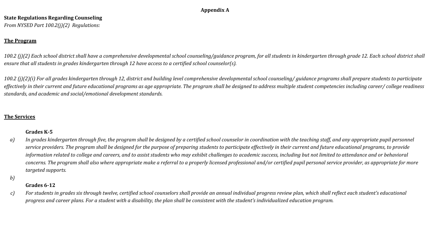#### **Appendix A**

#### <span id="page-35-0"></span>**State Regulations Regarding Counseling**

*From NYSED Part 100.2(j)(2) Regulations:*

#### **The Program**

100.2 (j)(2) Each school district shall have a comprehensive developmental school counseling/guidance program, for all students in kindergarten through grade 12. Each school district shall *ensure that all students in grades kindergarten through 12 have access to a certified school counselor(s).* 

*100.2 (j)(2)(i) For all grades kindergarten through 12, district and building level comprehensive developmental school counseling/ guidance programs shall prepare students to participate*  effectively in their current and future educational programs as age appropriate. The program shall be designed to address multiple student competencies including career/ college readiness *standards, and academic and social/emotional development standards.* 

#### **The Services**

#### **Grades K-5**

- *a) In grades kindergarten through five, the program shall be designed by a certified school counselor in coordination with the teaching staff, and any appropriate pupil personnel service providers. The program shall be designed for the purpose of preparing students to participate effectively in their current and future educational programs, to provide information related to college and careers, and to assist students who may exhibit challenges to academic success, including but not limited to attendance and or behavioral concerns. The program shall also where appropriate make a referral to a properly licensed professional and/or certified pupil personal service provider, as appropriate for more targeted supports.*
- *b)*

#### **Grades 6-12**

*c) For students in grades six through twelve, certified school counselors shall provide an annual individual progress review plan, which shall reflect each student's educational progress and career plans. For a student with a disability, the plan shall be consistent with the student's individualized education program.*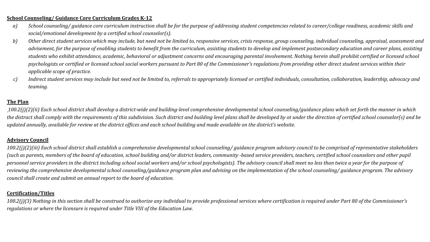#### **School Counseling/ Guidance Core Curriculum Grades K-12**

- *a) School counseling/ guidance core curriculum instruction shall be for the purpose of addressing student competencies related to career/college readiness, academic skills and social/emotional development by a certified school counselor(s).*
- *b) Other direct student services which may include, but need not be limited to, responsive services, crisis response, group counseling, individual counseling, appraisal, assessment and advisement, for the purpose of enabling students to benefit from the curriculum, assisting students to develop and implement postsecondary education and career plans, assisting students who exhibit attendance, academic, behavioral or adjustment concerns and encouraging parental involvement. Nothing herein shall prohibit certified or licensed school psychologists or certified or licensed school social workers pursuant to Part 80 of the Commissioner's regulations from providing other direct student services within their applicable scope of practice.*
- *c) Indirect student services may include but need not be limited to, referrals to appropriately licensed or certified individuals, consultation, collaboration, leadership, advocacy and teaming.*

#### **The Plan**

*100.2(j)(2)(ii) Each school district shall develop a district-wide and building-level comprehensive developmental school counseling/guidance plans which set forth the manner in which the distract shall comply with the requirements of this subdivision. Such district and building level plans shall be developed by ot under the direction of certified school counselor(s) and be updated annually, available for review at the district offices and each school building and made available on the district's website.* 

#### **Advisory Council**

*100.2(j)(2)(iii) Each school district shall establish a comprehensive developmental school counseling/ guidance program advisory council to be comprised of representative stakeholders (such as parents, members of the board of education, school building and/or district leaders, community -based service providers, teachers, certified school counselors and other pupil personnel service providers in the district including school social workers and/or school psychologists). The advisory council shall meet no less than twice a year for the purpose of reviewing the comprehensive developmental school counseling/guidance program plan and advising on the implementation of the school counseling/ guidance program. The advisory council shall create and submit an annual report to the board of education.* 

#### **Certification/Titles**

*100.2(j)(3) Nothing in this section shall be construed to authorize any individual to provide professional services where certification is required under Part 80 of the Commissioner's regulations or where the licensure is required under Title VIII of the Education Law.*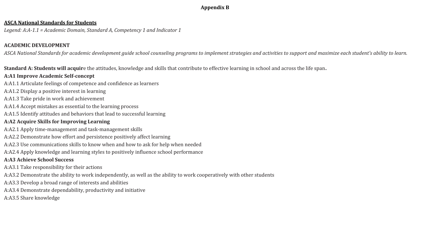#### **Appendix B**

#### <span id="page-37-0"></span>**ASCA National Standards for Students**

*Legend: A:A-1.1 = Academic Domain, Standard A, Competency 1 and Indicator 1*

#### **ACADEMIC DEVELOPMENT**

*ASCA National Standards for academic development guide school counseling programs to implement strategies and activities to support and maximize each student's ability to learn.*

**Standard A: Students will acquir**e the attitudes, knowledge and skills that contribute to effective learning in school and across the life span**.**

#### **A:A1 Improve Academic Self-concept**

- A:A1.1 Articulate feelings of competence and confidence as learners
- A:A1.2 Display a positive interest in learning
- A:A1.3 Take pride in work and achievement
- A:A1.4 Accept mistakes as essential to the learning process
- A:A1.5 Identify attitudes and behaviors that lead to successful learning

#### **A:A2 Acquire Skills for Improving Learning**

- A:A2.1 Apply time-management and task-management skills
- A:A2.2 Demonstrate how effort and persistence positively affect learning
- A:A2.3 Use communications skills to know when and how to ask for help when needed
- A:A2.4 Apply knowledge and learning styles to positively influence school performance

#### **A:A3 Achieve School Success**

- A:A3.1 Take responsibility for their actions
- A:A3.2 Demonstrate the ability to work independently, as well as the ability to work cooperatively with other students
- A:A3.3 Develop a broad range of interests and abilities
- A:A3.4 Demonstrate dependability, productivity and initiative
- A:A3.5 Share knowledge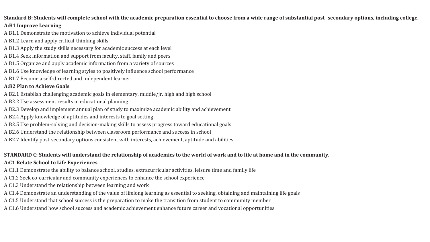#### **Standard B: Students will complete school with the academic preparation essential to choose from a wide range of substantial post- secondary options, including college.**

#### **A:B1 Improve Learning**

- A:B1.1 Demonstrate the motivation to achieve individual potential
- A:B1.2 Learn and apply critical-thinking skills
- A:B1.3 Apply the study skills necessary for academic success at each level
- A:B1.4 Seek information and support from faculty, staff, family and peers
- A:B1.5 Organize and apply academic information from a variety of sources
- A:B1.6 Use knowledge of learning styles to positively influence school performance
- A:B1.7 Become a self-directed and independent learner

#### **A:B2 Plan to Achieve Goals**

- A:B2.1 Establish challenging academic goals in elementary, middle/jr. high and high school
- A:B2.2 Use assessment results in educational planning
- A:B2.3 Develop and implement annual plan of study to maximize academic ability and achievement
- A:B2.4 Apply knowledge of aptitudes and interests to goal setting
- A:B2.5 Use problem-solving and decision-making skills to assess progress toward educational goals
- A:B2.6 Understand the relationship between classroom performance and success in school
- A:B2.7 Identify post-secondary options consistent with interests, achievement, aptitude and abilities

### **STANDARD C: Students will understand the relationship of academics to the world of work and to life at home and in the community.**

#### **A:C1 Relate School to Life Experiences**

- A:C1.1 Demonstrate the ability to balance school, studies, extracurricular activities, leisure time and family life
- A:C1.2 Seek co-curricular and community experiences to enhance the school experience
- A:C1.3 Understand the relationship between learning and work
- A:C1.4 Demonstrate an understanding of the value of lifelong learning as essential to seeking, obtaining and maintaining life goals
- A:C1.5 Understand that school success is the preparation to make the transition from student to community member
- A:C1.6 Understand how school success and academic achievement enhance future career and vocational opportunities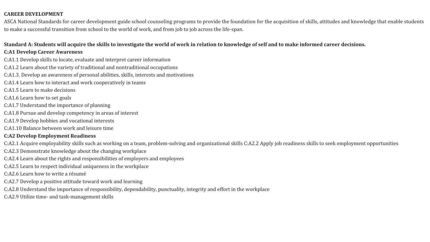#### **CAREER DEVELOPMENT**

ASCA National Standards for career development guide school counseling programs to provide the foundation for the acquisition of skills, attitudes and knowledge that enable students to make a successful transition from school to the world of work, and from job to job across the life-span.

#### **Standard A: Students will acquire the skills to investigate the world of work in relation to knowledge of self and to make informed career decisions.**

#### **C:A1 Develop Career Awareness**

- C:A1.1 Develop skills to locate, evaluate and interpret career information
- C:A1.2 Learn about the variety of traditional and nontraditional occupations
- C:A1.3. Develop an awareness of personal abilities, skills, interests and motivations
- C:A1.4 Learn how to interact and work cooperatively in teams
- C:A1.5 Learn to make decisions
- C:A1.6 Learn how to set goals
- C:A1.7 Understand the importance of planning
- C:A1.8 Pursue and develop competency in areas of interest
- C:A1.9 Develop hobbies and vocational interests
- C:A1.10 Balance between work and leisure time

#### **C:A2 Develop Employment Readiness**

- C:A2.1 Acquire employability skills such as working on a team, problem-solving and organizational skills C:A2.2 Apply job readiness skills to seek employment opportunities
- C:A2.3 Demonstrate knowledge about the changing workplace
- C:A2.4 Learn about the rights and responsibilities of employers and employees
- C:A2.5 Learn to respect individual uniqueness in the workplace
- C:A2.6 Learn how to write a résumé
- C:A2.7 Develop a positive attitude toward work and learning
- C:A2.8 Understand the importance of responsibility, dependability, punctuality, integrity and effort in the workplace
- C:A2.9 Utilize time- and task-management skills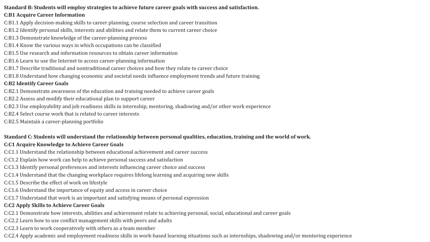#### **Standard B: Students will employ strategies to achieve future career goals with success and satisfaction.**

#### **C:B1 Acquire Career Information**

- C:B1.1 Apply decision-making skills to career planning, course selection and career transition
- C:B1.2 Identify personal skills, interests and abilities and relate them to current career choice
- C:B1.3 Demonstrate knowledge of the career-planning process
- C:B1.4 Know the various ways in which occupations can be classified
- C:B1.5 Use research and information resources to obtain career information
- C:B1.6 Learn to use the Internet to access career-planning information
- C:B1.7 Describe traditional and nontraditional career choices and how they relate to career choice
- C:B1.8 Understand how changing economic and societal needs influence employment trends and future training

#### **C:B2 Identify Career Goals**

- C:B2.1 Demonstrate awareness of the education and training needed to achieve career goals
- C:B2.2 Assess and modify their educational plan to support career
- C:B2.3 Use employability and job readiness skills in internship, mentoring, shadowing and/or other work experience
- C:B2.4 Select course work that is related to career interests
- C:B2.5 Maintain a career-planning portfolio

### **Standard C: Students will understand the relationship between personal qualities, education, training and the world of work.**

#### **C:C1 Acquire Knowledge to Achieve Career Goals**

- C:C1.1 Understand the relationship between educational achievement and career success
- C:C1.2 Explain how work can help to achieve personal success and satisfaction
- C:C1.3 Identify personal preferences and interests influencing career choice and success
- C:C1.4 Understand that the changing workplace requires lifelong learning and acquiring new skills
- C:C1.5 Describe the effect of work on lifestyle
- C:C1.6 Understand the importance of equity and access in career choice
- C:C1.7 Understand that work is an important and satisfying means of personal expression

#### **C:C2 Apply Skills to Achieve Career Goals**

- C:C2.1 Demonstrate how interests, abilities and achievement relate to achieving personal, social, educational and career goals
- C:C2.2 Learn how to use conflict management skills with peers and adults
- C:C2.3 Learn to work cooperatively with others as a team member
- C:C2.4 Apply academic and employment readiness skills in work-based learning situations such as internships, shadowing and/or mentoring experience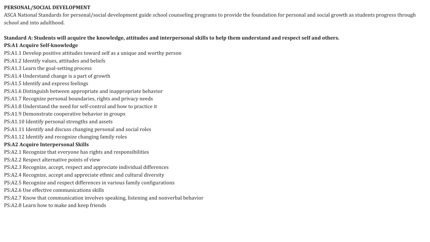#### **PERSONAL/SOCIAL DEVELOPMENT**

ASCA National Standards for personal/social development guide school counseling programs to provide the foundation for personal and social growth as students progress through school and into adulthood.

#### **Standard A: Students will acquire the knowledge, attitudes and interpersonal skills to help them understand and respect self and others.**

#### **PS:A1 Acquire Self-knowledge**

- PS:A1.1 Develop positive attitudes toward self as a unique and worthy person
- PS:A1.2 Identify values, attitudes and beliefs
- PS:A1.3 Learn the goal-setting process
- PS:A1.4 Understand change is a part of growth
- PS:A1.5 Identify and express feelings
- PS:A1.6 Distinguish between appropriate and inappropriate behavior
- PS:A1.7 Recognize personal boundaries, rights and privacy needs
- PS:A1.8 Understand the need for self-control and how to practice it
- PS:A1.9 Demonstrate cooperative behavior in groups
- PS:A1.10 Identify personal strengths and assets
- PS:A1.11 Identify and discuss changing personal and social roles
- PS:A1.12 Identify and recognize changing family roles

#### **PS:A2 Acquire Interpersonal Skills**

- PS:A2.1 Recognize that everyone has rights and responsibilities
- PS:A2.2 Respect alternative points of view
- PS:A2.3 Recognize, accept, respect and appreciate individual differences
- PS:A2.4 Recognize, accept and appreciate ethnic and cultural diversity
- PS:A2.5 Recognize and respect differences in various family configurations
- PS:A2.6 Use effective communications skills
- PS:A2.7 Know that communication involves speaking, listening and nonverbal behavior
- PS:A2.8 Learn how to make and keep friends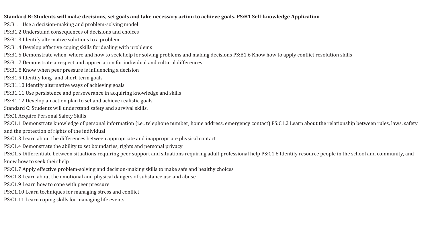#### **Standard B: Students will make decisions, set goals and take necessary action to achieve goals. PS:B1 Self-knowledge Application**

- PS:B1.1 Use a decision-making and problem-solving model
- PS:B1.2 Understand consequences of decisions and choices
- PS:B1.3 Identify alternative solutions to a problem
- PS:B1.4 Develop effective coping skills for dealing with problems
- PS:B1.5 Demonstrate when, where and how to seek help for solving problems and making decisions PS:B1.6 Know how to apply conflict resolution skills
- PS:B1.7 Demonstrate a respect and appreciation for individual and cultural differences
- PS:B1.8 Know when peer pressure is influencing a decision
- PS:B1.9 Identify long- and short-term goals
- PS:B1.10 Identify alternative ways of achieving goals
- PS:B1.11 Use persistence and perseverance in acquiring knowledge and skills
- PS:B1.12 Develop an action plan to set and achieve realistic goals
- Standard C: Students will understand safety and survival skills.
- PS:C1 Acquire Personal Safety Skills
- PS:C1.1 Demonstrate knowledge of personal information (i.e., telephone number, home address, emergency contact) PS:C1.2 Learn about the relationship between rules, laws, safety and the protection of rights of the individual
- PS:C1.3 Learn about the differences between appropriate and inappropriate physical contact
- PS:C1.4 Demonstrate the ability to set boundaries, rights and personal privacy
- PS:C1.5 Differentiate between situations requiring peer support and situations requiring adult professional help PS:C1.6 Identify resource people in the school and community, and know how to seek their help
- PS:C1.7 Apply effective problem-solving and decision-making skills to make safe and healthy choices
- PS:C1.8 Learn about the emotional and physical dangers of substance use and abuse
- PS:C1.9 Learn how to cope with peer pressure
- PS:C1.10 Learn techniques for managing stress and conflict
- PS:C1.11 Learn coping skills for managing life events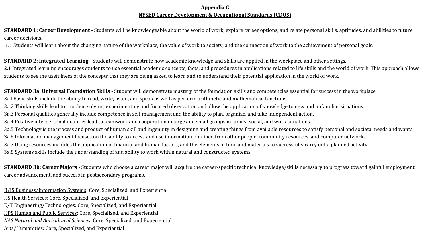#### **Appendix C NYSED Career Development & Occupational Standards (CDOS)**

<span id="page-43-0"></span>**STANDARD 1: Career Development** - Students will be knowledgeable about the world of work, explore career options, and relate personal skills, aptitudes, and abilities to future career decisions.

1.1 Students will learn about the changing nature of the workplace, the value of work to society, and the connection of work to the achievement of personal goals.

**STANDARD 2: Integrated Learning** - Students will demonstrate how academic knowledge and skills are applied in the workplace and other settings. 2.1 Integrated learning encourages students to use essential academic concepts, facts, and procedures in applications related to life skills and the world of work. This approach allows students to see the usefulness of the concepts that they are being asked to learn and to understand their potential application in the world of work.

**STANDARD 3a: Universal Foundation Skills** - Student will demonstrate mastery of the foundation skills and competencies essential for success in the workplace. 3a.l Basic skills include the ability to read, write, listen, and speak as well as perform arithmetic and mathematical functions. 3a.2 Thinking skills lead to problem solving, experimenting and focused observation and allow the application of knowledge to new and unfamiliar situations. 3a.3 Personal qualities generally include competence in self-management and the ability to plan, organize, and take independent action. 3a.4 Positive interpersonal qualities lead to teamwork and cooperation in large and small groups in family, social, and work situations. 3a.5 Technology is the process and product of human skill and ingenuity in designing and creating things from available resources to satisfy personal and societal needs and wants. 3a.6 Information management focuses on the ability to access and use information obtained from other people, community resources, and computer networks. 3a.7 Using resources includes the application of financial and human factors, and the elements of time and materials to successfully carry out a planned activity. 3a.8 Systems skills include the understanding of and ability to work within natural and constructed systems.

**STANDARD 3b: Career Majors** - Students who choose a career major will acquire the career-specific technical knowledge/skills necessary to progress toward gainful employment, career advancement, and success in postsecondary programs.

B/IS Business/Information Systems: Core, Specialized, and Experiential HS Health Services: Core, Specialized, and Experiential E/T Engineering/Technologies: Core, Specialized, and Experiential HPS Human and Public Services: Core, Specialized, and Experiential *NAS Natural and Agricultural Sciences*: Core, Specialized, and Experiential Arts/Humanities: Core, Specialized, and Experiential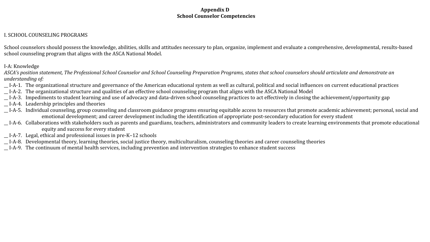#### **Appendix D School Counselor Competencies**

#### <span id="page-44-0"></span>I. SCHOOL COUNSELING PROGRAMS

School counselors should possess the knowledge, abilities, skills and attitudes necessary to plan, organize, implement and evaluate a comprehensive, developmental, results-based school counseling program that aligns with the ASCA National Model.

I-A: Knowledge

ASCA's position statement, The Professional School Counselor and School Counseling Preparation Programs, states that school counselors should articulate and demonstrate an *understanding of:* 

- \_\_ I-A-1. The organizational structure and governance of the American educational system as well as cultural, political and social influences on current educational practices
- \_\_ I-A-2. The organizational structure and qualities of an effective school counseling program that aligns with the ASCA National Model
- \_\_ I-A-3. Impediments to student learning and use of advocacy and data-driven school counseling practices to act effectively in closing the achievement/opportunity gap
- \_\_ I-A-4. Leadership principles and theories
- \_\_ I-A-5. Individual counseling, group counseling and classroom guidance programs ensuring equitable access to resources that promote academic achievement; personal, social and emotional development; and career development including the identification of appropriate post-secondary education for every student
- \_\_ I-A-6. Collaborations with stakeholders such as parents and guardians, teachers, administrators and community leaders to create learning environments that promote educational equity and success for every student
- \_\_ I-A-7. Legal, ethical and professional issues in pre-K–12 schools
- \_\_ I-A-8. Developmental theory, learning theories, social justice theory, multiculturalism, counseling theories and career counseling theories
- \_\_ I-A-9. The continuum of mental health services, including prevention and intervention strategies to enhance student success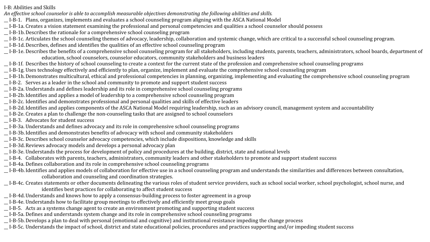I-B: Abilities and Skills

*An effective school counselor is able to accomplish measurable objectives demonstrating the following abilities and skills.* 

- \_\_ I-B-1. Plans, organizes, implements and evaluates a school counseling program aligning with the ASCA National Model
- \_\_ I-B-1a. Creates a vision statement examining the professional and personal competencies and qualities a school counselor should possess
- \_\_ I-B-1b.Describes the rationale for a comprehensive school counseling program
- \_\_ I-B-1c. Articulates the school counseling themes of advocacy, leadership, collaboration and systemic change, which are critical to a successful school counseling program.
- \_\_ I-B-1d.Describes, defines and identifies the qualities of an effective school counseling program
- \_\_ I-B-1e. Describes the benefits of a comprehensive school counseling program for all stakeholders, including students, parents, teachers, administrators, school boards, department of education, school counselors, counselor educators, community stakeholders and business leaders
- \_\_ I-B-1f. Describes the history of school counseling to create a context for the current state of the profession and comprehensive school counseling programs
- \_\_ I-B-1g. Uses technology effectively and efficiently to plan, organize, implement and evaluate the comprehensive school counseling program
- \_\_ I-B-1h.Demonstrates multicultural, ethical and professional competencies in planning, organizing, implementing and evaluating the comprehensive school counseling program
- \_\_ I-B-2. Serves as a leader in the school and community to promote and support student success
- \_\_ I-B-2a. Understands and defines leadership and its role in comprehensive school counseling programs
- \_\_ I-B-2b.Identifies and applies a model of leadership to a comprehensive school counseling program
- \_\_ I-B-2c. Identifies and demonstrates professional and personal qualities and skills of effective leaders
- \_\_ I-B-2d.Identifies and applies components of the ASCA National Model requiring leadership, such as an advisory council, management system and accountability
- \_\_ I-B-2e. Creates a plan to challenge the non-counseling tasks that are assigned to school counselors
- \_\_ I-B-3. Advocates for student success
- \_\_ I-B-3a. Understands and defines advocacy and its role in comprehensive school counseling programs
- \_\_ I-B-3b.Identifies and demonstrates benefits of advocacy with school and community stakeholders
- \_\_ I-B-3c. Describes school counselor advocacy competencies, which include dispositions, knowledge and skills
- \_\_ I-B-3d.Reviews advocacy models and develops a personal advocacy plan
- \_\_ I-B-3e. Understands the process for development of policy and procedures at the building, district, state and national levels
- \_\_ I-B-4. Collaborates with parents, teachers, administrators, community leaders and other stakeholders to promote and support student success
- \_\_ I-B-4a. Defines collaboration and its role in comprehensive school counseling programs
- \_\_ I-B-4b.Identifies and applies models of collaboration for effective use in a school counseling program and understands the similarities and differences between consultation, collaboration and counseling and coordination strategies.
- \_\_ I-B-4c. Creates statements or other documents delineating the various roles of student service providers, such as school social worker, school psychologist, school nurse, and identifies best practices for collaborating to affect student success
- \_\_ I-B-4d.Understands and knows how to apply a consensus-building process to foster agreement in a group
- \_\_ I-B-4e. Understands how to facilitate group meetings to effectively and efficiently meet group goals
- \_\_ I-B-5. Acts as a systems change agent to create an environment promoting and supporting student success
- \_\_ I-B-5a. Defines and understands system change and its role in comprehensive school counseling programs
- \_\_ I-B-5b.Develops a plan to deal with personal (emotional and cognitive) and institutional resistance impeding the change process
- \_\_ I-B-5c. Understands the impact of school, district and state educational policies, procedures and practices supporting and/or impeding student success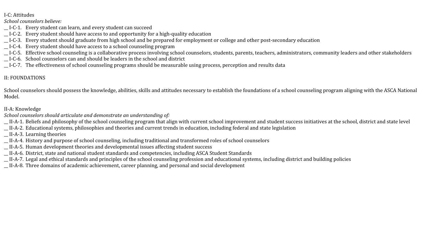#### I-C: Attitudes

#### *School counselors believe:*

- \_\_ I-C-1. Every student can learn, and every student can succeed
- \_\_ I-C-2. Every student should have access to and opportunity for a high-quality education
- \_\_ I-C-3. Every student should graduate from high school and be prepared for employment or college and other post-secondary education
- \_\_ I-C-4. Every student should have access to a school counseling program
- \_\_ I-C-5. Effective school counseling is a collaborative process involving school counselors, students, parents, teachers, administrators, community leaders and other stakeholders
- \_\_ I-C-6. School counselors can and should be leaders in the school and district
- \_\_ I-C-7. The effectiveness of school counseling programs should be measurable using process, perception and results data

#### II: FOUNDATIONS

School counselors should possess the knowledge, abilities, skills and attitudes necessary to establish the foundations of a school counseling program aligning with the ASCA National Model.

#### II-A: Knowledge

*School counselors should articulate and demonstrate an understanding of:* 

\_\_ II-A-1. Beliefs and philosophy of the school counseling program that align with current school improvement and student success initiatives at the school, district and state level

- \_\_ II-A-2. Educational systems, philosophies and theories and current trends in education, including federal and state legislation
- \_\_ II-A-3. Learning theories
- \_\_ II-A-4. History and purpose of school counseling, including traditional and transformed roles of school counselors
- \_\_ II-A-5. Human development theories and developmental issues affecting student success
- \_\_ II-A-6. District, state and national student standards and competencies, including ASCA Student Standards

\_\_ II-A-7. Legal and ethical standards and principles of the school counseling profession and educational systems, including district and building policies

\_\_ II-A-8. Three domains of academic achievement, career planning, and personal and social development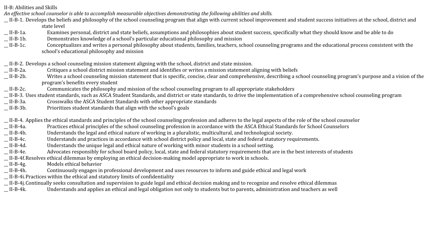II-B: Abilities and Skills

*An effective school counselor is able to accomplish measurable objectives demonstrating the following abilities and skills.* 

- \_\_ II-B-1. Develops the beliefs and philosophy of the school counseling program that align with current school improvement and student success initiatives at the school, district and state level
- \_\_ II-B-1a. Examines personal, district and state beliefs, assumptions and philosophies about student success, specifically what they should know and be able to do
- \_\_ II-B-1b. Demonstrates knowledge of a school's particular educational philosophy and mission
- \_\_ II-B-1c. Conceptualizes and writes a personal philosophy about students, families, teachers, school counseling programs and the educational process consistent with the school's educational philosophy and mission

\_\_ II-B-2. Develops a school counseling mission statement aligning with the school, district and state mission.

- \_\_ II-B-2a. Critiques a school district mission statement and identifies or writes a mission statement aligning with beliefs
- \_\_ II-B-2b. Writes a school counseling mission statement that is specific, concise, clear and comprehensive, describing a school counseling program's purpose and a vision of the program's benefits every student
- \_\_ II-B-2c. Communicates the philosophy and mission of the school counseling program to all appropriate stakeholders
- \_\_ II-B-3. Uses student standards, such as ASCA Student Standards, and district or state standards, to drive the implementation of a comprehensive school counseling program
- \_\_ II-B-3a. Crosswalks the ASCA Student Standards with other appropriate standards
- \_\_ II-B-3b. Prioritizes student standards that align with the school's goals

\_\_ II-B-4. Applies the ethical standards and principles of the school counseling profession and adheres to the legal aspects of the role of the school counselor

- \_\_ II-B-4a. Practices ethical principles of the school counseling profession in accordance with the ASCA Ethical Standards for School Counselors
- \_\_ II-B-4b. Understands the legal and ethical nature of working in a pluralistic, multicultural, and technological society.
- \_\_ II-B-4c. Understands and practices in accordance with school district policy and local, state and federal statutory requirements.
- \_\_ II-B-4d. Understands the unique legal and ethical nature of working with minor students in a school setting.
- \_\_ II-B-4e. Advocates responsibly for school board policy, local, state and federal statutory requirements that are in the best interests of students
- \_\_ II-B-4f.Resolves ethical dilemmas by employing an ethical decision-making model appropriate to work in schools.
- \_\_ II-B-4g. Models ethical behavior
- \_\_ II-B-4h. Continuously engages in professional development and uses resources to inform and guide ethical and legal work
- \_\_ II-B-4i.Practices within the ethical and statutory limits of confidentiality
- \_\_ II-B-4j.Continually seeks consultation and supervision to guide legal and ethical decision making and to recognize and resolve ethical dilemmas
- \_\_ II-B-4k. Understands and applies an ethical and legal obligation not only to students but to parents, administration and teachers as well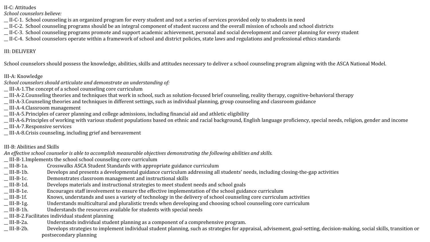II-C: Attitudes

*School counselors believe:* 

\_\_ II-C-1. School counseling is an organized program for every student and not a series of services provided only to students in need

\_\_ II-C-2. School counseling programs should be an integral component of student success and the overall mission of schools and school districts

\_\_ II-C-3. School counseling programs promote and support academic achievement, personal and social development and career planning for every student

\_\_ II-C-4. School counselors operate within a framework of school and district policies, state laws and regulations and professional ethics standards

#### III: DELIVERY

School counselors should possess the knowledge, abilities, skills and attitudes necessary to deliver a school counseling program aligning with the ASCA National Model.

#### III-A: Knowledge

*School counselors should articulate and demonstrate an understanding of:* 

- \_\_ III-A-1.The concept of a school counseling core curriculum
- \_\_ III-A-2.Counseling theories and techniques that work in school, such as solution-focused brief counseling, reality therapy, cognitive-behavioral therapy
- \_\_ III-A-3.Counseling theories and techniques in different settings, such as individual planning, group counseling and classroom guidance

\_\_ III-A-4.Classroom management

- \_\_ III-A-5.Principles of career planning and college admissions, including financial aid and athletic eligibility
- \_\_ III-A-6.Principles of working with various student populations based on ethnic and racial background, English language proficiency, special needs, religion, gender and income \_\_ III-A-7.Responsive services

\_\_ III-A-8.Crisis counseling, including grief and bereavement

III-B: Abilities and Skills

*An effective school counselor is able to accomplish measurable objectives demonstrating the following abilities and skills.* 

\_\_ III-B-1.Implements the school school counseling core curriculum

- \_\_ III-B-1a. Crosswalks ASCA Student Standards with appropriate guidance curriculum
- \_\_ III-B-1b. Develops and presents a developmental guidance curriculum addressing all students' needs, including closing-the-gap activities
- \_\_ III-B-1c. Demonstrates classroom management and instructional skills
- \_\_ III-B-1d. Develops materials and instructional strategies to meet student needs and school goals
- \_\_ III-B-1e. Encourages staff involvement to ensure the effective implementation of the school guidance curriculum
- \_\_ III-B-1f. Knows, understands and uses a variety of technology in the delivery of school counseling core curriculum activities
- \_\_ III-B-1g. Understands multicultural and pluralistic trends when developing and choosing school counseling core curriculum
- \_\_ III-B-1h. Understands the resources available for students with special needs

\_\_ III-B-2.Facilitates individual student planning

- \_\_ III-B-2a. Understands individual student planning as a component of a comprehensive program.
- \_\_ III-B-2b. Develops strategies to implement individual student planning, such as strategies for appraisal, advisement, goal-setting, decision-making, social skills, transition or postsecondary planning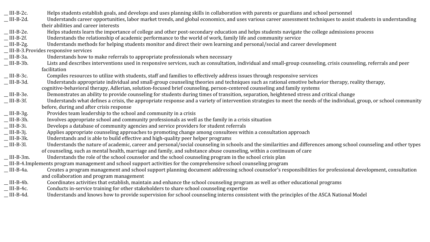| $III-B-2c.$ | Helps students establish goals, and develops and uses planning skills in collaboration with parents or guardians and school personnel                                |
|-------------|----------------------------------------------------------------------------------------------------------------------------------------------------------------------|
| $III-B-2d.$ | Understands career opportunities, labor market trends, and global economics, and uses various career assessment techniques to assist students in understanding       |
|             | their abilities and career interests                                                                                                                                 |
| $III-B-2e.$ | Helps students learn the importance of college and other post-secondary education and helps students navigate the college admissions process                         |
| $III-B-2f.$ | Understands the relationship of academic performance to the world of work, family life and community service                                                         |
| $III-B-2g.$ | Understands methods for helping students monitor and direct their own learning and personal/social and career development                                            |
|             | _III-B-3. Provides responsive services                                                                                                                               |
| _ III-B-3a. | Understands how to make referrals to appropriate professionals when necessary                                                                                        |
| $III-B-3b.$ | Lists and describes interventions used in responsive services, such as consultation, individual and small-group counseling, crisis counseling, referrals and peer    |
|             | facilitation                                                                                                                                                         |
| $III-B-3c.$ | Compiles resources to utilize with students, staff and families to effectively address issues through responsive services                                            |
| $III-B-3d.$ | Understands appropriate individual and small-group counseling theories and techniques such as rational emotive behavior therapy, reality therapy,                    |
|             | cognitive-behavioral therapy, Adlerian, solution-focused brief counseling, person-centered counseling and family systems                                             |
| III-B-3e.   | Demonstrates an ability to provide counseling for students during times of transition, separation, heightened stress and critical change                             |
| $III-B-3f.$ | Understands what defines a crisis, the appropriate response and a variety of intervention strategies to meet the needs of the individual, group, or school community |
|             | before, during and after crisis response                                                                                                                             |
| $III-B-3g.$ | Provides team leadership to the school and community in a crisis                                                                                                     |
| III-B-3h.   | Involves appropriate school and community professionals as well as the family in a crisis situation                                                                  |
| III-B-3i.   | Develops a database of community agencies and service providers for student referrals                                                                                |
| _ III-B-3j. | Applies appropriate counseling approaches to promoting change among consultees within a consultation approach                                                        |
| $III-B-3k.$ | Understands and is able to build effective and high-quality peer helper programs                                                                                     |
| _ III-B-31. | Understands the nature of academic, career and personal/social counseling in schools and the similarities and differences among school counseling and other types    |
|             | of counseling, such as mental health, marriage and family, and substance abuse counseling, within a continuum of care                                                |
| $III-B-3m.$ | Understands the role of the school counselor and the school counseling program in the school crisis plan                                                             |
|             | III-B-4.Implements program management and school support activities for the comprehensive school counseling program                                                  |
| _ III-B-4a. | Creates a program management and school support planning document addressing school counselor's responsibilities for professional development, consultation          |
|             | and collaboration and program management                                                                                                                             |
| _ III-B-4b. | Coordinates activities that establish, maintain and enhance the school counseling program as well as other educational programs                                      |
| $III-B-4c.$ | Conducts in-service training for other stakeholders to share school counseling expertise                                                                             |
| _ III-B-4d. | Understands and knows how to provide supervision for school counseling interns consistent with the principles of the ASCA National Model                             |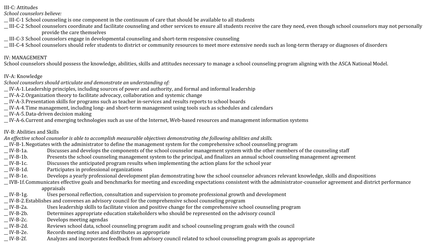III-C: Attitudes

*School counselors believe:* 

- \_\_ III-C-1 School counseling is one component in the continuum of care that should be available to all students
- \_\_ III-C-2 School counselors coordinate and facilitate counseling and other services to ensure all students receive the care they need, even though school counselors may not personally provide the care themselves
- \_\_ III-C-3 School counselors engage in developmental counseling and short-term responsive counseling
- \_\_ III-C-4 School counselors should refer students to district or community resources to meet more extensive needs such as long-term therapy or diagnoses of disorders

#### IV: MANAGEMENT

School counselors should possess the knowledge, abilities, skills and attitudes necessary to manage a school counseling program aligning with the ASCA National Model.

#### IV-A: Knowledge

- *School counselors should articulate and demonstrate an understanding of:*
- \_\_ IV-A-1.Leadership principles, including sources of power and authority, and formal and informal leadership
- \_\_ IV-A-2.Organization theory to facilitate advocacy, collaboration and systemic change
- \_\_ IV-A-3.Presentation skills for programs such as teacher in-services and results reports to school boards
- \_\_ IV-A-4.Time management, including long- and short-term management using tools such as schedules and calendars
- \_\_ IV-A-5.Data-driven decision making
- \_\_ IV-A-6.Current and emerging technologies such as use of the Internet, Web-based resources and management information systems

#### IV-B: Abilities and Skills

*An effective school counselor is able to accomplish measurable objectives demonstrating the following abilities and skills.* 

- \_\_ IV-B-1.Negotiates with the administrator to define the management system for the comprehensive school counseling program
- \_\_ IV-B-1a. Discusses and develops the components of the school counselor management system with the other members of the counseling staff
- \_\_ IV-B-1b. Presents the school counseling management system to the principal, and finalizes an annual school counseling management agreement
- Discusses the anticipated program results when implementing the action plans for the school year
- \_\_ IV-B-1d. Participates in professional organizations
- \_\_ IV-B-1e. Develops a yearly professional development plan demonstrating how the school counselor advances relevant knowledge, skills and dispositions
- \_\_ IVB-1f.Communicates effective goals and benchmarks for meeting and exceeding expectations consistent with the administrator-counselor agreement and district performance

#### appraisals

- \_\_ IV-B-1g. Uses personal reflection, consultation and supervision to promote professional growth and development
- \_\_ IV-B-2.Establishes and convenes an advisory council for the comprehensive school counseling program
- \_\_ IV-B-2a. Uses leadership skills to facilitate vision and positive change for the comprehensive school counseling program
- \_\_ IV-B-2b. Determines appropriate education stakeholders who should be represented on the advisory council
- \_\_ IV-B-2c. Develops meeting agendas
- \_\_ IV-B-2d. Reviews school data, school counseling program audit and school counseling program goals with the council
- \_\_ IV-B-2e. Records meeting notes and distributes as appropriate
- Analyzes and incorporates feedback from advisory council related to school counseling program goals as appropriate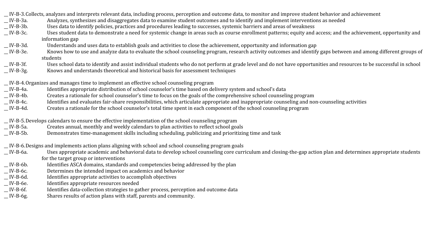\_\_ IV-B-3.Collects, analyzes and interprets relevant data, including process, perception and outcome data, to monitor and improve student behavior and achievement

- \_\_ IV-B-3a. Analyzes, synthesizes and disaggregates data to examine student outcomes and to identify and implement interventions as needed
- \_\_ IV-B-3b. Uses data to identify policies, practices and procedures leading to successes, systemic barriers and areas of weakness
- \_\_ IV-B-3c. Uses student data to demonstrate a need for systemic change in areas such as course enrollment patterns; equity and access; and the achievement, opportunity and information gap
- \_\_ IV-B-3d. Understands and uses data to establish goals and activities to close the achievement, opportunity and information gap
- \_\_ IV-B-3e. Knows how to use and analyze data to evaluate the school counseling program, research activity outcomes and identify gaps between and among different groups of students
- \_\_ IV-B-3f. Uses school data to identify and assist individual students who do not perform at grade level and do not have opportunities and resources to be successful in school
- \_\_ IV-B-3g. Knows and understands theoretical and historical basis for assessment techniques
- \_\_ IV-B-4.Organizes and manages time to implement an effective school counseling program
- \_\_ IV-B-4a. Identifies appropriate distribution of school counselor's time based on delivery system and school's data
- \_\_ IV-B-4b. Creates a rationale for school counselor's time to focus on the goals of the comprehensive school counseling program
- \_\_ IV-B-4c. Identifies and evaluates fair-share responsibilities, which articulate appropriate and inappropriate counseling and non-counseling activities
- \_\_ IV-B-4d. Creates a rationale for the school counselor's total time spent in each component of the school counseling program
- \_\_ IV-B-5.Develops calendars to ensure the effective implementation of the school counseling program
- \_\_ IV-B-5a. Creates annual, monthly and weekly calendars to plan activities to reflect school goals
- \_\_ IV-B-5b. Demonstrates time-management skills including scheduling, publicizing and prioritizing time and task
- \_\_ IV-B-6.Designs and implements action plans aligning with school and school counseling program goals
- \_\_ IV-B-6a. Uses appropriate academic and behavioral data to develop school counseling core curriculum and closing-the-gap action plan and determines appropriate students for the target group or interventions
- \_\_ IV-B-6b. Identifies ASCA domains, standards and competencies being addressed by the plan
- \_\_ IV-B-6c. Determines the intended impact on academics and behavior
- \_\_ IV-B-6d. Identifies appropriate activities to accomplish objectives
- \_\_ IV-B-6e. Identifies appropriate resources needed
- \_\_ IV-B-6f. Identifies data-collection strategies to gather process, perception and outcome data
- \_\_ IV-B-6g. Shares results of action plans with staff, parents and community.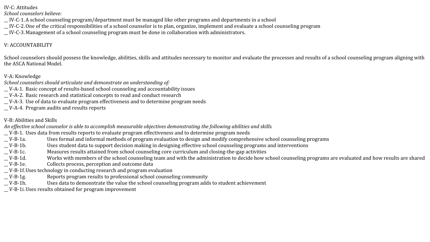IV-C: Attitudes

*School counselors believe:* 

\_\_ IV-C-1.A school counseling program/department must be managed like other programs and departments in a school

\_\_ IV-C-2.One of the critical responsibilities of a school counselor is to plan, organize, implement and evaluate a school counseling program

\_\_ IV-C-3.Management of a school counseling program must be done in collaboration with administrators.

#### V: ACCOUNTABILITY

School counselors should possess the knowledge, abilities, skills and attitudes necessary to monitor and evaluate the processes and results of a school counseling program aligning with the ASCA National Model.

#### V-A: Knowledge

*School counselors should articulate and demonstrate an understanding of:* 

- \_\_ V-A-1. Basic concept of results-based school counseling and accountability issues
- \_\_ V-A-2. Basic research and statistical concepts to read and conduct research
- \_\_ V-A-3. Use of data to evaluate program effectiveness and to determine program needs
- \_\_ V-A-4. Program audits and results reports

#### V-B: Abilities and Skills

*An effective school counselor is able to accomplish measurable objectives demonstrating the following abilities and skills.* 

- \_\_ V-B-1. Uses data from results reports to evaluate program effectiveness and to determine program needs
- \_\_ V-B-1a. Uses formal and informal methods of program evaluation to design and modify comprehensive school counseling programs
- \_\_ V-B-1b. Uses student data to support decision making in designing effective school counseling programs and interventions
- \_\_ V-B-1c. Measures results attained from school counseling core curriculum and closing-the-gap activities
- \_\_ V-B-1d. Works with members of the school counseling team and with the administration to decide how school counseling programs are evaluated and how results are shared
- \_\_ V-B-1e. Collects process, perception and outcome data
- \_\_ V-B-1f.Uses technology in conducting research and program evaluation
- \_\_ V-B-1g. Reports program results to professional school counseling community
- \_\_ V-B-1h. Uses data to demonstrate the value the school counseling program adds to student achievement
- \_\_ V-B-1i.Uses results obtained for program improvement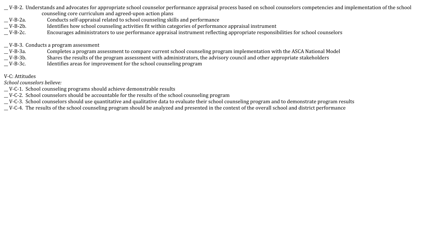- \_\_ V-B-2. Understands and advocates for appropriate school counselor performance appraisal process based on school counselors competencies and implementation of the school counseling core curriculum and agreed-upon action plans
- \_\_ V-B-2a. Conducts self-appraisal related to school counseling skills and performance
- \_\_ V-B-2b. Identifies how school counseling activities fit within categories of performance appraisal instrument
- \_\_ V-B-2c. Encourages administrators to use performance appraisal instrument reflecting appropriate responsibilities for school counselors

#### \_\_ V-B-3. Conducts a program assessment

- \_\_ V-B-3a. Completes a program assessment to compare current school counseling program implementation with the ASCA National Model
- \_\_ V-B-3b. Shares the results of the program assessment with administrators, the advisory council and other appropriate stakeholders
- \_\_ V-B-3c. Identifies areas for improvement for the school counseling program

#### V-C: Attitudes

*School counselors believe:* 

- \_\_ V-C-1. School counseling programs should achieve demonstrable results
- \_\_ V-C-2. School counselors should be accountable for the results of the school counseling program
- \_\_ V-C-3. School counselors should use quantitative and qualitative data to evaluate their school counseling program and to demonstrate program results
- \_\_ V-C-4. The results of the school counseling program should be analyzed and presented in the context of the overall school and district performance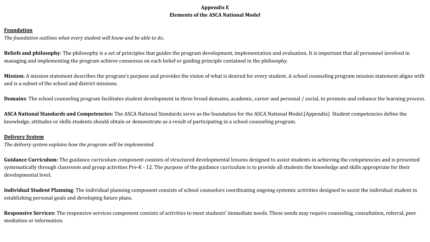#### **Appendix E Elements of the ASCA National Model**

#### <span id="page-54-0"></span>**Foundation**

*The foundation outlines what every student will know and be able to do*.

**Beliefs and philosophy**: The philosophy is a set of principles that guides the program development, implementation and evaluation. It is important that all personnel involved in managing and implementing the program achieve consensus on each belief or guiding principle contained in the philosophy.

**Mission:** A mission statement describes the program's purpose and provides the vision of what is desired for every student. A school counseling program mission statement aligns with and is a subset of the school and district missions.

**Domains***:* The school counseling program facilitates student development in three broad domains, academic, career and personal / social, to promote and enhance the learning process.

**ASCA National Standards and Competencies:** The ASCA National Standards serve as the foundation for the ASCA National Model.(Appendix) Student competencies define the knowledge, attitudes or skills students should obtain or demonstrate as a result of participating in a school counseling program.

#### **Delivery System**

*The delivery system explains how the program will be implemented.*

Guidance Curriculum: The guidance curriculum component consists of structured developmental lessons designed to assist students in achieving the competencies and is presented systematically through classroom and group activities Pre-K - 12. The purpose of the guidance curriculum is to provide all students the knowledge and skills appropriate for their developmental level.

**Individual Student Planning***:* The individual planning component consists of school counselors coordinating ongoing systemic activities designed to assist the individual student in establishing personal goals and developing future plans.

Responsive Services: The responsive services component consists of activities to meet students' immediate needs. These needs may require counseling, consultation, referral, peer mediation or information.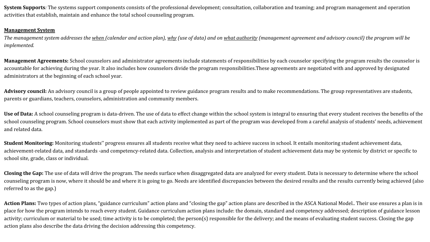**System Supports***:* The systems support components consists of the professional development; consultation, collaboration and teaming; and program management and operation activities that establish, maintain and enhance the total school counseling program.

#### **Management System**

*The management system addresses the when (calendar and action plan), why (use of data) and on what authority (management agreement and advisory council) the program will be implemented.*

**Management Agreements:** School counselors and administrator agreements include statements of responsibilities by each counselor specifying the program results the counselor is accountable for achieving during the year. It also includes how counselors divide the program responsibilities.These agreements are negotiated with and approved by designated administrators at the beginning of each school year.

Advisory council: An advisory council is a group of people appointed to review guidance program results and to make recommendations. The group representatives are students, parents or guardians, teachers, counselors, administration and community members.

**Use of Data:** A school counseling program is data-driven. The use of data to effect change within the school system is integral to ensuring that every student receives the benefits of the school counseling program. School counselors must show that each activity implemented as part of the program was developed from a careful analysis of students' needs, achievement and related data.

Student Monitoring: Monitoring students" progress ensures all students receive what they need to achieve success in school. It entails monitoring student achievement data, achievement-related data, and standards -and competency-related data. Collection, analysis and interpretation of student achievement data may be systemic by district or specific to school site, grade, class or individual.

**Closing the Gap:** The use of data will drive the program. The needs surface when disaggregated data are analyzed for every student. Data is necessary to determine where the school counseling program is now, where it should be and where it is going to go. Needs are identified discrepancies between the desired results and the results currently being achieved (also referred to as the gap.)

Action Plans: Two types of action plans, "guidance curriculum" action plans and "closing the gap" action plans are described in the ASCA National Model.. Their use ensures a plan is in place for how the program intends to reach every student. Guidance curriculum action plans include: the domain, standard and competency addressed; description of guidance lesson activity; curriculum or material to be used; time activity is to be completed; the person(s) responsible for the delivery; and the means of evaluating student success. Closing the gap action plans also describe the data driving the decision addressing this competency.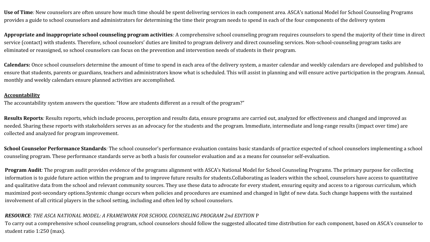**Use of Time***:* New counselors are often unsure how much time should be spent delivering services in each component area. ASCA's national Model for School Counseling Programs provides a guide to school counselors and administrators for determining the time their program needs to spend in each of the four components of the delivery system

**Appropriate and inappropriate school counseling program activities***:* A comprehensive school counseling program requires counselors to spend the majority of their time in direct service (contact) with students. Therefore, school counselors' duties are limited to program delivery and direct counseling services. Non-school-counseling program tasks are eliminated or reassigned, so school counselors can focus on the prevention and intervention needs of students in their program.

**Calendars:** Once school counselors determine the amount of time to spend in each area of the delivery system, a master calendar and weekly calendars are developed and published to ensure that students, parents or guardians, teachers and administrators know what is scheduled. This will assist in planning and will ensure active participation in the program. Annual, monthly and weekly calendars ensure planned activities are accomplished.

#### **Accountability**

The accountability system answers the question: "How are students different as a result of the program?"

**Results Reports***:* Results reports, which include process, perception and results data, ensure programs are carried out, analyzed for effectiveness and changed and improved as needed. Sharing these reports with stakeholders serves as an advocacy for the students and the program. Immediate, intermediate and long-range results (impact over time) are collected and analyzed for program improvement.

**School Counselor Performance Standards***:* The school counselor's performance evaluation contains basic standards of practice expected of school counselors implementing a school counseling program. These performance standards serve as both a basis for counselor evaluation and as a means for counselor self-evaluation.

**Program Audit***:* The program audit provides evidence of the programs alignment with ASCA's National Model for School Counseling Programs. The primary purpose for collecting information is to guide future action within the program and to improve future results for students.Collaborating as leaders within the school, counselors have access to quantitative and qualitative data from the school and relevant community sources. They use these data to advocate for every student, ensuring equity and access to a rigorous curriculum, which maximized post-secondary options.Systemic change occurs when policies and procedures are examined and changed in light of new data. Such change happens with the sustained involvement of all critical players in the school setting, including and often led by school counselors.

#### *RESOURCE: THE ASCA NATIONAL MODEL: A FRAMEWORK FOR SCHOOL COUNSELING PROGRAM 2nd EDITION* P

To carry out a comprehensive school counseling program, school counselors should follow the suggested allocated time distribution for each component, based on ASCA's counselor to student ratio 1:250 (max).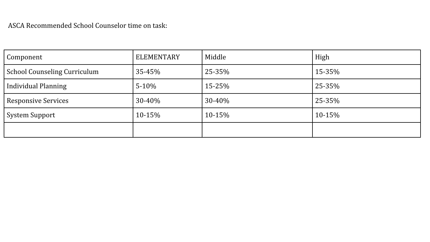| Component                           | <b>ELEMENTARY</b> | Middle | High   |
|-------------------------------------|-------------------|--------|--------|
| <b>School Counseling Curriculum</b> | 35-45%            | 25-35% | 15-35% |
| <b>Individual Planning</b>          | $5-10%$           | 15-25% | 25-35% |
| <b>Responsive Services</b>          | $30 - 40\%$       | 30-40% | 25-35% |
| System Support                      | 10-15%            | 10-15% | 10-15% |
|                                     |                   |        |        |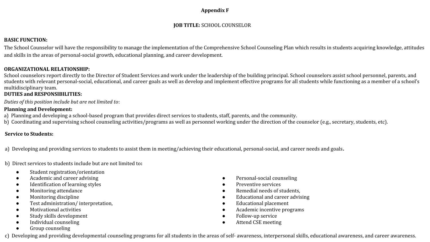#### **Appendix F**

#### **JOB TITLE:** SCHOOL COUNSELOR

#### <span id="page-58-0"></span>**BASIC FUNCTION:**

The School Counselor will have the responsibility to manage the implementation of the Comprehensive School Counseling Plan which results in students acquiring knowledge, attitudes and skills in the areas of personal-social growth, educational planning, and career development.

#### **ORGANIZATIONAL RELATIONSHIP:**

School counselors report directly to the Director of Student Services and work under the leadership of the building principal. School counselors assist school personnel, parents, and students with relevant personal-social, educational, and career goals as well as develop and implement effective programs for all students while functioning as a member of a school's multidisciplinary team.

#### **DUTIES and RESPONSIBILITIES:**

*Duties of this position include but are not limited to*:

#### **Planning and Development:**

- a) Planning and developing a school-based program that provides direct services to students, staff, parents, and the community.
- b) Coordinating and supervising school counseling activities/programs as well as personnel working under the direction of the counselor (e.g., secretary, students, etc).

#### **Service to Students:**

a) Developing and providing services to students to assist them in meeting/achieving their educational, personal-social, and career needs and goals**.**

b) Direct services to students include but are not limited to**:**

- Student registration/orientation
- Academic and career advising
- Identification of learning styles
- Monitoring attendance
- Monitoring discipline
- Test administration/ interpretation,
- Motivational activities
- Study skills development
- Individual counseling
- Group counseling
- Personal-social counseling
- Preventive services
- Remedial needs of students,
- Educational and career advising
- **Educational placement**
- Academic incentive programs
- Follow-up service
- Attend CSE meeting

c) Developing and providing developmental counseling programs for all students in the areas of self- awareness, interpersonal skills, educational awareness, and career awareness.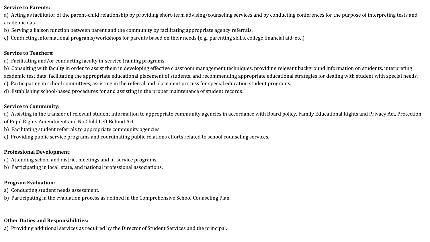#### **Service to Parents:**

a) Acting as facilitator of the parent-child relationship by providing short-term advising/counseling services and by conducting conferences for the purpose of interpreting tests and academic data.

- b) Serving a liaison function between parent and the community by facilitating appropriate agency referrals.
- c) Conducting informational programs/workshops for parents based on their needs (e.g., parenting skills, college financial aid, etc.)

#### **Service to Teachers:**

- a) Facilitating and/or conducting faculty in-service training programs.
- b) Consulting with faculty in order to assist them in developing effective classroom management techniques, providing relevant background information on students, interpreting academic test data, facilitating the appropriate educational placement of students, and recommending appropriate educational strategies for dealing with student with special needs.
- c) Participating in school committees, assisting in the referral and placement process for special education student programs.
- d) Establishing school-based procedures for and assisting in the proper maintenance of student records**.**

#### **Service to Community:**

- a) Assisting in the transfer of relevant student information to appropriate community agencies in accordance with Board policy, Family Educational Rights and Privacy Act, Protection of Pupil Rights Amendment and No Child Left Behind Act.
- b) Facilitating student referrals to appropriate community agencies.
- c) Providing public service programs and coordinating public relations efforts related to school counseling services.

#### **Professional Development:**

- a) Attending school and district meetings and in-service programs.
- b) Participating in local, state, and national professional associations.

#### **Program Evaluation:**

- a) Conducting student needs assessment.
- b) Participating in the evaluation process as defined in the Comprehensive School Counseling Plan.

#### **Other Duties and Responsibilities:**

a) Providing additional services as required by the Director of Student Services and the principal.